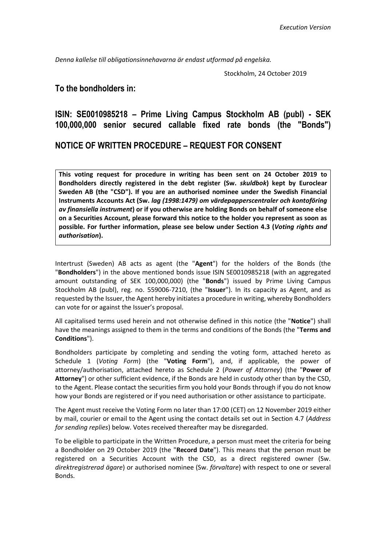*Denna kallelse till obligationsinnehavarna är endast utformad på engelska.*

Stockholm, 24 October 2019

## **To the bondholders in:**

# **ISIN: SE0010985218 – Prime Living Campus Stockholm AB (publ) - SEK 100,000,000 senior secured callable fixed rate bonds (the "Bonds")**

# **NOTICE OF WRITTEN PROCEDURE – REQUEST FOR CONSENT**

**This voting request for procedure in writing has been sent on 24 October 2019 to Bondholders directly registered in the debt register (Sw.** *skuldbok***) kept by Euroclear Sweden AB (the "CSD"). If you are an authorised nominee under the Swedish Financial Instruments Accounts Act (Sw.** *lag (1998:1479) om värdepapperscentraler och kontoföring av finansiella instrument***) or if you otherwise are holding Bonds on behalf of someone else on a Securities Account, please forward this notice to the holder you represent as soon as possible. For further information, please see below under Section [4.3](#page-7-0) (***Voting rights and authorisation***).**

Intertrust (Sweden) AB acts as agent (the "**Agent**") for the holders of the Bonds (the "**Bondholders**") in the above mentioned bonds issue ISIN SE0010985218 (with an aggregated amount outstanding of SEK 100,000,000) (the "**Bonds**") issued by Prime Living Campus Stockholm AB (publ), reg. no. 559006-7210, (the "**Issuer**"). In its capacity as Agent, and as requested by the Issuer, the Agent hereby initiates a procedure in writing, whereby Bondholders can vote for or against the Issuer's proposal.

All capitalised terms used herein and not otherwise defined in this notice (the "**Notice**") shall have the meanings assigned to them in the terms and conditions of the Bonds (the "**Terms and Conditions**").

Bondholders participate by completing and sending the voting form, attached hereto as Schedule 1 (*Voting Form*) (the "**Voting Form**"), and, if applicable, the power of attorney/authorisation, attached hereto as Schedule 2 (*Power of Attorney*) (the "**Power of Attorney**") or other sufficient evidence, if the Bonds are held in custody other than by the CSD, to the Agent. Please contact the securities firm you hold your Bonds through if you do not know how your Bonds are registered or if you need authorisation or other assistance to participate.

The Agent must receive the Voting Form no later than 17:00 (CET) on 12 November 2019 either by mail, courier or email to the Agent using the contact details set out in Section [4.7](#page-8-0) (*Address for sending replies*) below. Votes received thereafter may be disregarded.

To be eligible to participate in the Written Procedure, a person must meet the criteria for being a Bondholder on 29 October 2019 (the "**Record Date**"). This means that the person must be registered on a Securities Account with the CSD, as a direct registered owner (Sw. *direktregistrerad ägare*) or authorised nominee (Sw. *förvaltare*) with respect to one or several Bonds.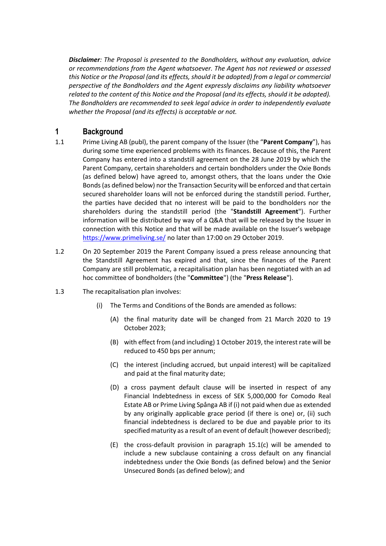*Disclaimer: The Proposal is presented to the Bondholders, without any evaluation, advice or recommendations from the Agent whatsoever. The Agent has not reviewed or assessed this Notice or the Proposal (and its effects, should it be adopted) from a legal or commercial perspective of the Bondholders and the Agent expressly disclaims any liability whatsoever related to the content of this Notice and the Proposal (and its effects, should it be adopted). The Bondholders are recommended to seek legal advice in order to independently evaluate whether the Proposal (and its effects) is acceptable or not.*

## **1 Background**

- 1.1 Prime Living AB (publ), the parent company of the Issuer (the "**Parent Company**"), has during some time experienced problems with its finances. Because of this, the Parent Company has entered into a standstill agreement on the 28 June 2019 by which the Parent Company, certain shareholders and certain bondholders under the Oxie Bonds (as defined below) have agreed to, amongst others, that the loans under the Oxie Bonds(as defined below) nor the Transaction Security will be enforced and that certain secured shareholder loans will not be enforced during the standstill period. Further, the parties have decided that no interest will be paid to the bondholders nor the shareholders during the standstill period (the "**Standstill Agreement**"). Further information will be distributed by way of a Q&A that will be released by the Issuer in connection with this Notice and that will be made available on the Issuer's webpage <https://www.primeliving.se/> no later than 17:00 on 29 October 2019.
- 1.2 On 20 September 2019 the Parent Company issued a press release announcing that the Standstill Agreement has expired and that, since the finances of the Parent Company are still problematic, a recapitalisation plan has been negotiated with an ad hoc committee of bondholders (the "**Committee**") (the "**Press Release**").
- 1.3 The recapitalisation plan involves:
	- (i) The Terms and Conditions of the Bonds are amended as follows:
		- (A) the final maturity date will be changed from 21 March 2020 to 19 October 2023;
		- (B) with effect from (and including) 1 October 2019, the interest rate will be reduced to 450 bps per annum;
		- (C) the interest (including accrued, but unpaid interest) will be capitalized and paid at the final maturity date;
		- (D) a cross payment default clause will be inserted in respect of any Financial Indebtedness in excess of SEK 5,000,000 for Comodo Real Estate AB or Prime Living Spånga AB if (i) not paid when due as extended by any originally applicable grace period (if there is one) or, (ii) such financial indebtedness is declared to be due and payable prior to its specified maturity as a result of an event of default (however described);
		- (E) the cross-default provision in paragraph 15.1(c) will be amended to include a new subclause containing a cross default on any financial indebtedness under the Oxie Bonds (as defined below) and the Senior Unsecured Bonds (as defined below); and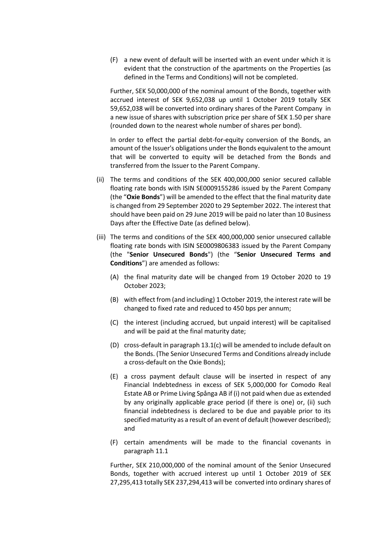(F) a new event of default will be inserted with an event under which it is evident that the construction of the apartments on the Properties (as defined in the Terms and Conditions) will not be completed.

Further, SEK 50,000,000 of the nominal amount of the Bonds, together with accrued interest of SEK 9,652,038 up until 1 October 2019 totally SEK 59,652,038 will be converted into ordinary shares of the Parent Company in a new issue of shares with subscription price per share of SEK 1.50 per share (rounded down to the nearest whole number of shares per bond).

In order to effect the partial debt-for-equity conversion of the Bonds, an amount of the Issuer's obligations under the Bonds equivalent to the amount that will be converted to equity will be detached from the Bonds and transferred from the Issuer to the Parent Company.

- (ii) The terms and conditions of the SEK 400,000,000 senior secured callable floating rate bonds with ISIN SE0009155286 issued by the Parent Company (the "**Oxie Bonds**") will be amended to the effect that the final maturity date is changed from 29 September 2020 to 29 September 2022. The interest that should have been paid on 29 June 2019 will be paid no later than 10 Business Days after the Effective Date (as defined below).
- (iii) The terms and conditions of the SEK 400,000,000 senior unsecured callable floating rate bonds with ISIN SE0009806383 issued by the Parent Company (the "**Senior Unsecured Bonds**") (the "**Senior Unsecured Terms and Conditions**") are amended as follows:
	- (A) the final maturity date will be changed from 19 October 2020 to 19 October 2023;
	- (B) with effect from (and including) 1 October 2019, the interest rate will be changed to fixed rate and reduced to 450 bps per annum;
	- (C) the interest (including accrued, but unpaid interest) will be capitalised and will be paid at the final maturity date;
	- (D) cross-default in paragraph 13.1(c) will be amended to include default on the Bonds. (The Senior Unsecured Terms and Conditions already include a cross-default on the Oxie Bonds);
	- (E) a cross payment default clause will be inserted in respect of any Financial Indebtedness in excess of SEK 5,000,000 for Comodo Real Estate AB or Prime Living Spånga AB if (i) not paid when due as extended by any originally applicable grace period (if there is one) or, (ii) such financial indebtedness is declared to be due and payable prior to its specified maturity as a result of an event of default (however described); and
	- (F) certain amendments will be made to the financial covenants in paragraph 11.1

Further, SEK 210,000,000 of the nominal amount of the Senior Unsecured Bonds, together with accrued interest up until 1 October 2019 of SEK 27,295,413 totally SEK 237,294,413 will be converted into ordinary shares of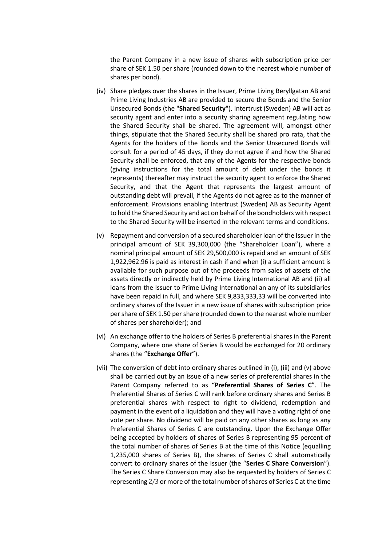the Parent Company in a new issue of shares with subscription price per share of SEK 1.50 per share (rounded down to the nearest whole number of shares per bond).

- (iv) Share pledges over the shares in the Issuer, Prime Living Beryllgatan AB and Prime Living Industries AB are provided to secure the Bonds and the Senior Unsecured Bonds (the "**Shared Security**"). Intertrust (Sweden) AB will act as security agent and enter into a security sharing agreement regulating how the Shared Security shall be shared. The agreement will, amongst other things, stipulate that the Shared Security shall be shared pro rata, that the Agents for the holders of the Bonds and the Senior Unsecured Bonds will consult for a period of 45 days, if they do not agree if and how the Shared Security shall be enforced, that any of the Agents for the respective bonds (giving instructions for the total amount of debt under the bonds it represents) thereafter may instruct the security agent to enforce the Shared Security, and that the Agent that represents the largest amount of outstanding debt will prevail, if the Agents do not agree as to the manner of enforcement. Provisions enabling Intertrust (Sweden) AB as Security Agent to hold the Shared Security and act on behalf of the bondholders with respect to the Shared Security will be inserted in the relevant terms and conditions.
- (v) Repayment and conversion of a secured shareholder loan of the Issuer in the principal amount of SEK 39,300,000 (the "Shareholder Loan"), where a nominal principal amount of SEK 29,500,000 is repaid and an amount of SEK 1,922,962.96 is paid as interest in cash if and when (i) a sufficient amount is available for such purpose out of the proceeds from sales of assets of the assets directly or indirectly held by Prime Living International AB and (ii) all loans from the Issuer to Prime Living International an any of its subsidiaries have been repaid in full, and where SEK 9,833,333,33 will be converted into ordinary shares of the Issuer in a new issue of shares with subscription price per share of SEK 1.50 per share (rounded down to the nearest whole number of shares per shareholder); and
- (vi) An exchange offer to the holders of Series B preferential shares in the Parent Company, where one share of Series B would be exchanged for 20 ordinary shares (the "**Exchange Offer**").
- (vii) The conversion of debt into ordinary shares outlined in (i), (iii) and (v) above shall be carried out by an issue of a new series of preferential shares in the Parent Company referred to as "**Preferential Shares of Series C**". The Preferential Shares of Series C will rank before ordinary shares and Series B preferential shares with respect to right to dividend, redemption and payment in the event of a liquidation and they will have a voting right of one vote per share. No dividend will be paid on any other shares as long as any Preferential Shares of Series C are outstanding. Upon the Exchange Offer being accepted by holders of shares of Series B representing 95 percent of the total number of shares of Series B at the time of this Notice (equalling 1,235,000 shares of Series B), the shares of Series C shall automatically convert to ordinary shares of the Issuer (the "**Series C Share Conversion**"). The Series C Share Conversion may also be requested by holders of Series C representing 2/3 or more of the total number of shares of Series C at the time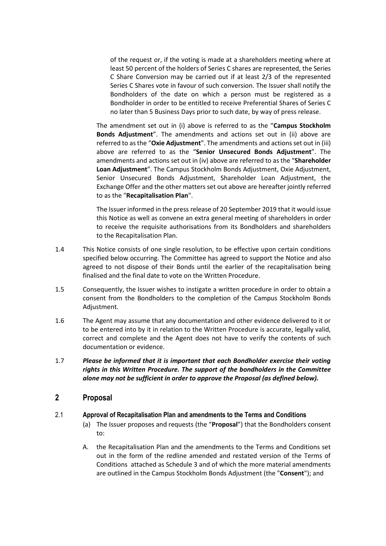of the request or, if the voting is made at a shareholders meeting where at least 50 percent of the holders of Series C shares are represented, the Series C Share Conversion may be carried out if at least 2/3 of the represented Series C Shares vote in favour of such conversion. The Issuer shall notify the Bondholders of the date on which a person must be registered as a Bondholder in order to be entitled to receive Preferential Shares of Series C no later than 5 Business Days prior to such date, by way of press release.

The amendment set out in (i) above is referred to as the "**Campus Stockholm Bonds Adjustment**". The amendments and actions set out in (ii) above are referred to as the "**Oxie Adjustment**". The amendments and actions set out in (iii) above are referred to as the "**Senior Unsecured Bonds Adjustment**". The amendments and actions set out in (iv) above are referred to as the "**Shareholder Loan Adjustment**". The Campus Stockholm Bonds Adjustment, Oxie Adjustment, Senior Unsecured Bonds Adjustment, Shareholder Loan Adjustment, the Exchange Offer and the other matters set out above are hereafter jointly referred to as the "**Recapitalisation Plan**".

The Issuer informed in the press release of 20 September 2019 that it would issue this Notice as well as convene an extra general meeting of shareholders in order to receive the requisite authorisations from its Bondholders and shareholders to the Recapitalisation Plan.

- 1.4 This Notice consists of one single resolution, to be effective upon certain conditions specified below occurring. The Committee has agreed to support the Notice and also agreed to not dispose of their Bonds until the earlier of the recapitalisation being finalised and the final date to vote on the Written Procedure.
- 1.5 Consequently, the Issuer wishes to instigate a written procedure in order to obtain a consent from the Bondholders to the completion of the Campus Stockholm Bonds Adjustment.
- 1.6 The Agent may assume that any documentation and other evidence delivered to it or to be entered into by it in relation to the Written Procedure is accurate, legally valid, correct and complete and the Agent does not have to verify the contents of such documentation or evidence.
- 1.7 *Please be informed that it is important that each Bondholder exercise their voting rights in this Written Procedure. The support of the bondholders in the Committee alone may not be sufficient in order to approve the Proposal (as defined below).*

## **2 Proposal**

## 2.1 **Approval of Recapitalisation Plan and amendments to the Terms and Conditions**

- (a) The Issuer proposes and requests (the "**Proposal**") that the Bondholders consent to:
- A. the Recapitalisation Plan and the amendments to the Terms and Conditions set out in the form of the redline amended and restated version of the Terms of Conditions attached as Schedule 3 and of which the more material amendments are outlined in the Campus Stockholm Bonds Adjustment (the "**Consent**"); and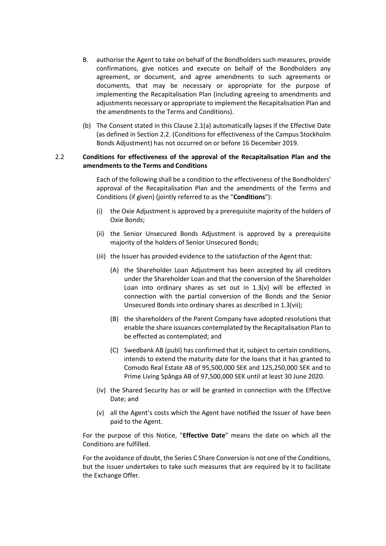- B. authorise the Agent to take on behalf of the Bondholders such measures, provide confirmations, give notices and execute on behalf of the Bondholders any agreement, or document, and agree amendments to such agreements or documents, that may be necessary or appropriate for the purpose of implementing the Recapitalisation Plan (including agreeing to amendments and adjustments necessary or appropriate to implement the Recapitalisation Plan and the amendments to the Terms and Conditions).
- (b) The Consent stated in this Clause 2.1(a) automatically lapses if the Effective Date (as defined in Section 2.2. (Conditions for effectiveness of the Campus Stockholm Bonds Adjustment) has not occurred on or before 16 December 2019.

#### 2.2 **Conditions for effectiveness of the approval of the Recapitalisation Plan and the amendments to the Terms and Conditions**

Each of the following shall be a condition to the effectiveness of the Bondholders' approval of the Recapitalisation Plan and the amendments of the Terms and Conditions (if given) (jointly referred to as the "**Conditions**"):

- (i) the Oxie Adjustment is approved by a prerequisite majority of the holders of Oxie Bonds;
- (ii) the Senior Unsecured Bonds Adjustment is approved by a prerequisite majority of the holders of Senior Unsecured Bonds;
- (iii) the Issuer has provided evidence to the satisfaction of the Agent that:
	- (A) the Shareholder Loan Adjustment has been accepted by all creditors under the Shareholder Loan and that the conversion of the Shareholder Loan into ordinary shares as set out in 1.3(v) will be effected in connection with the partial conversion of the Bonds and the Senior Unsecured Bonds into ordinary shares as described in 1.3(vii);
	- (B) the shareholders of the Parent Company have adopted resolutions that enable the share issuances contemplated by the Recapitalisation Plan to be effected as contemplated; and
	- (C) Swedbank AB (publ) has confirmed that it, subject to certain conditions, intends to extend the maturity date for the loans that it has granted to Comodo Real Estate AB of 95,500,000 SEK and 125,250,000 SEK and to Prime Living Spånga AB of 97,500,000 SEK until at least 30 June 2020.
- (iv) the Shared Security has or will be granted in connection with the Effective Date; and
- (v) all the Agent's costs which the Agent have notified the Issuer of have been paid to the Agent.

For the purpose of this Notice, "**Effective Date**" means the date on which all the Conditions are fulfilled.

For the avoidance of doubt, the Series C Share Conversion is not one of the Conditions, but the Issuer undertakes to take such measures that are required by it to facilitate the Exchange Offer.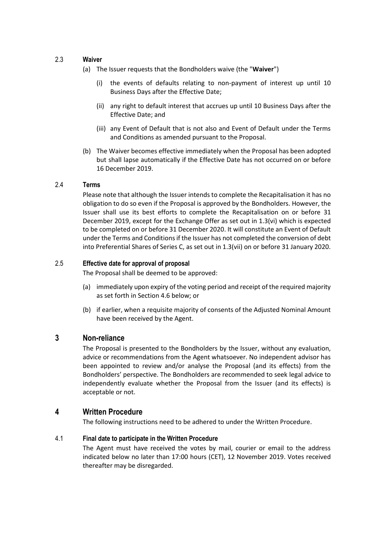## 2.3 **Waiver**

- (a) The Issuer requests that the Bondholders waive (the "**Waiver**")
	- (i) the events of defaults relating to non-payment of interest up until 10 Business Days after the Effective Date;
	- (ii) any right to default interest that accrues up until 10 Business Days after the Effective Date; and
	- (iii) any Event of Default that is not also and Event of Default under the Terms and Conditions as amended pursuant to the Proposal.
- (b) The Waiver becomes effective immediately when the Proposal has been adopted but shall lapse automatically if the Effective Date has not occurred on or before 16 December 2019.

## 2.4 **Terms**

Please note that although the Issuer intends to complete the Recapitalisation it has no obligation to do so even if the Proposal is approved by the Bondholders. However, the Issuer shall use its best efforts to complete the Recapitalisation on or before 31 December 2019, except for the Exchange Offer as set out in 1.3(vi) which is expected to be completed on or before 31 December 2020. It will constitute an Event of Default under the Terms and Conditions if the Issuer has not completed the conversion of debt into Preferential Shares of Series C, as set out in 1.3(vii) on or before 31 January 2020.

## 2.5 **Effective date for approval of proposal**

The Proposal shall be deemed to be approved:

- (a) immediately upon expiry of the voting period and receipt of the required majority as set forth in Section [4.6](#page-8-1) below; or
- (b) if earlier, when a requisite majority of consents of the Adjusted Nominal Amount have been received by the Agent.

## **3 Non-reliance**

The Proposal is presented to the Bondholders by the Issuer, without any evaluation, advice or recommendations from the Agent whatsoever. No independent advisor has been appointed to review and/or analyse the Proposal (and its effects) from the Bondholders' perspective. The Bondholders are recommended to seek legal advice to independently evaluate whether the Proposal from the Issuer (and its effects) is acceptable or not.

## **4 Written Procedure**

The following instructions need to be adhered to under the Written Procedure.

## 4.1 **Final date to participate in the Written Procedure**

The Agent must have received the votes by mail, courier or email to the address indicated below no later than 17:00 hours (CET), 12 November 2019. Votes received thereafter may be disregarded.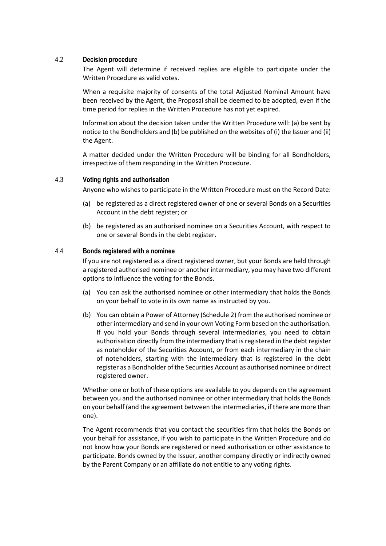#### 4.2 **Decision procedure**

The Agent will determine if received replies are eligible to participate under the Written Procedure as valid votes.

When a requisite majority of consents of the total Adjusted Nominal Amount have been received by the Agent, the Proposal shall be deemed to be adopted, even if the time period for replies in the Written Procedure has not yet expired.

Information about the decision taken under the Written Procedure will: (a) be sent by notice to the Bondholders and (b) be published on the websites of (i) the Issuer and (ii) the Agent.

A matter decided under the Written Procedure will be binding for all Bondholders, irrespective of them responding in the Written Procedure.

## <span id="page-7-0"></span>4.3 **Voting rights and authorisation**

Anyone who wishes to participate in the Written Procedure must on the Record Date:

- (a) be registered as a direct registered owner of one or several Bonds on a Securities Account in the debt register; or
- (b) be registered as an authorised nominee on a Securities Account, with respect to one or several Bonds in the debt register.

#### 4.4 **Bonds registered with a nominee**

If you are not registered as a direct registered owner, but your Bonds are held through a registered authorised nominee or another intermediary, you may have two different options to influence the voting for the Bonds.

- (a) You can ask the authorised nominee or other intermediary that holds the Bonds on your behalf to vote in its own name as instructed by you.
- (b) You can obtain a Power of Attorney (Schedule 2) from the authorised nominee or other intermediary and send in your own Voting Form based on the authorisation. If you hold your Bonds through several intermediaries, you need to obtain authorisation directly from the intermediary that is registered in the debt register as noteholder of the Securities Account, or from each intermediary in the chain of noteholders, starting with the intermediary that is registered in the debt register as a Bondholder of the Securities Account as authorised nominee or direct registered owner.

Whether one or both of these options are available to you depends on the agreement between you and the authorised nominee or other intermediary that holds the Bonds on your behalf (and the agreement between the intermediaries, if there are more than one).

The Agent recommends that you contact the securities firm that holds the Bonds on your behalf for assistance, if you wish to participate in the Written Procedure and do not know how your Bonds are registered or need authorisation or other assistance to participate. Bonds owned by the Issuer, another company directly or indirectly owned by the Parent Company or an affiliate do not entitle to any voting rights.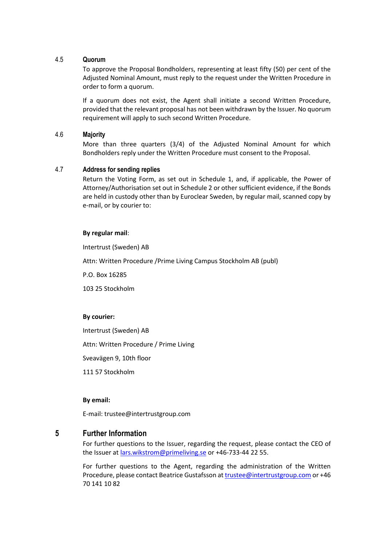#### 4.5 **Quorum**

To approve the Proposal Bondholders, representing at least fifty (50) per cent of the Adjusted Nominal Amount, must reply to the request under the Written Procedure in order to form a quorum.

If a quorum does not exist, the Agent shall initiate a second Written Procedure, provided that the relevant proposal has not been withdrawn by the Issuer. No quorum requirement will apply to such second Written Procedure.

## <span id="page-8-1"></span>4.6 **Majority**

More than three quarters (3/4) of the Adjusted Nominal Amount for which Bondholders reply under the Written Procedure must consent to the Proposal.

## <span id="page-8-0"></span>4.7 **Address for sending replies**

Return the Voting Form, as set out in Schedule 1, and, if applicable, the Power of Attorney/Authorisation set out in Schedule 2 or other sufficient evidence, if the Bonds are held in custody other than by Euroclear Sweden, by regular mail, scanned copy by e-mail, or by courier to:

#### **By regular mail**:

Intertrust (Sweden) AB

Attn: Written Procedure /Prime Living Campus Stockholm AB (publ)

P.O. Box 16285

103 25 Stockholm

#### **By courier:**

Intertrust (Sweden) AB

Attn: Written Procedure / Prime Living

Sveavägen 9, 10th floor

111 57 Stockholm

#### **By email:**

E-mail: trustee@intertrustgroup.com

## **5 Further Information**

For further questions to the Issuer, regarding the request, please contact the CEO of the Issuer a[t lars.wikstrom@primeliving.se](mailto:lars.wikstrom@primeliving.se) or +46-733-44 22 55.

For further questions to the Agent, regarding the administration of the Written Procedure, please contact Beatrice Gustafsson at [trustee@intertrustgroup.com](mailto:trustee@intertrustgroup.com) or +46 70 141 10 82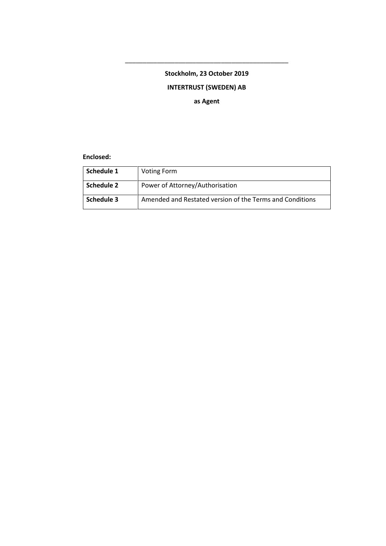## **Stockholm, 23 October 2019**

\_\_\_\_\_\_\_\_\_\_\_\_\_\_\_\_\_\_\_\_\_\_\_\_\_\_\_\_\_\_\_\_\_\_\_\_\_\_\_\_\_\_\_\_\_\_

# **INTERTRUST (SWEDEN) AB**

**as Agent**

**Enclosed:**

| Schedule 1 | Voting Form                                              |
|------------|----------------------------------------------------------|
| Schedule 2 | Power of Attorney/Authorisation                          |
| Schedule 3 | Amended and Restated version of the Terms and Conditions |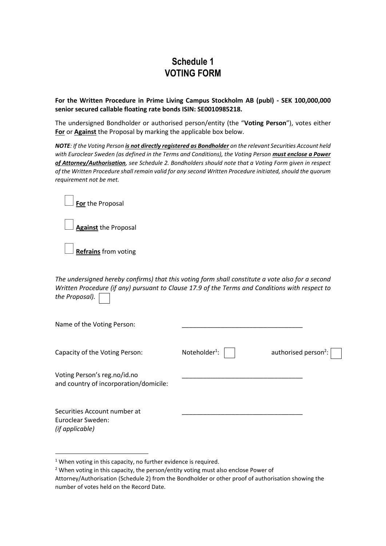# **Schedule 1 VOTING FORM**

**For the Written Procedure in Prime Living Campus Stockholm AB (publ) - SEK 100,000,000 senior secured callable floating rate bonds ISIN: SE0010985218.**

The undersigned Bondholder or authorised person/entity (the "**Voting Person**"), votes either **For** or **Against** the Proposal by marking the applicable box below.

*NOTE: If the Voting Person is not directly registered as Bondholder on the relevant Securities Account held*  with Euroclear Sweden (as defined in the Terms and Conditions), the Voting Person **must enclose a Power** *of Attorney/Authorisation, see Schedule 2. Bondholders should note that a Voting Form given in respect of the Written Procedure shall remain valid for any second Written Procedure initiated, should the quorum requirement not be met.*

| $\Box$ For the Proposal |
|-------------------------|
| Against the Proposal    |

**Refrains** from voting

*The undersigned hereby confirms) that this voting form shall constitute a vote also for a second Written Procedure (if any) pursuant to Clause 17.9 of the Terms and Conditions with respect to the Proposal).*

| Name of the Voting Person:                                             |                           |                                  |
|------------------------------------------------------------------------|---------------------------|----------------------------------|
| Capacity of the Voting Person:                                         | Noteholder <sup>1</sup> : | authorised person <sup>2</sup> : |
| Voting Person's reg.no/id.no<br>and country of incorporation/domicile: |                           |                                  |
| Securities Account number at<br>Euroclear Sweden:<br>(if applicable)   |                           |                                  |

<sup>&</sup>lt;sup>1</sup> When voting in this capacity, no further evidence is required.

<sup>&</sup>lt;sup>2</sup> When voting in this capacity, the person/entity voting must also enclose Power of

Attorney/Authorisation (Schedule 2) from the Bondholder or other proof of authorisation showing the number of votes held on the Record Date.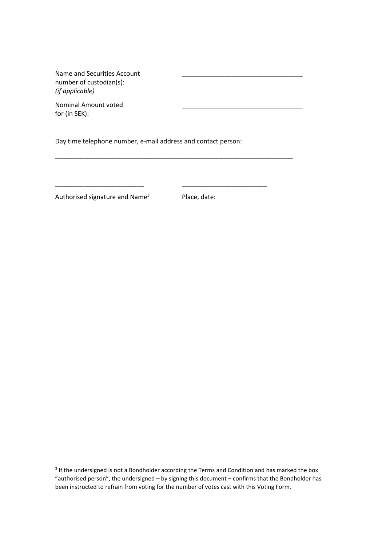Name and Securities Account number of custodian(s): *(if applicable)*

Nominal Amount voted \_\_\_\_\_\_\_\_\_\_\_\_\_\_\_\_\_\_\_\_\_\_\_\_\_\_\_\_\_\_\_\_\_\_ for (in SEK):

Day time telephone number, e-mail address and contact person:

\_\_\_\_\_\_\_\_\_\_\_\_\_\_\_\_\_\_\_\_\_\_\_\_\_\_\_\_\_\_\_\_\_\_\_\_\_\_\_\_\_\_\_\_\_\_\_\_\_\_\_\_\_\_\_\_\_\_\_\_\_\_\_\_\_\_\_

\_\_\_\_\_\_\_\_\_\_\_\_\_\_\_\_\_\_\_\_\_\_\_\_\_ \_\_\_\_\_\_\_\_\_\_\_\_\_\_\_\_\_\_\_\_\_\_\_\_

Authorised signature and Name<sup>3</sup> Place, date:

<sup>&</sup>lt;sup>3</sup> If the undersigned is not a Bondholder according the Terms and Condition and has marked the box "authorised person", the undersigned – by signing this document – confirms that the Bondholder has been instructed to refrain from voting for the number of votes cast with this Voting Form.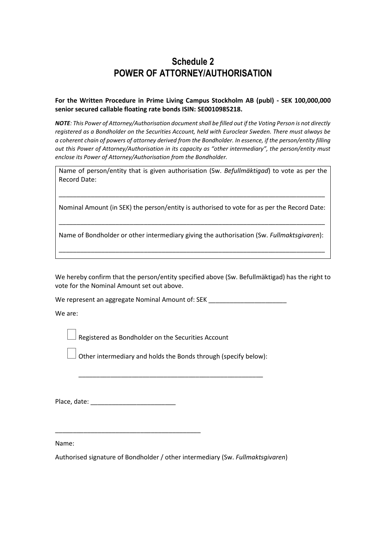# **Schedule 2 POWER OF ATTORNEY/AUTHORISATION**

**For the Written Procedure in Prime Living Campus Stockholm AB (publ) - SEK 100,000,000 senior secured callable floating rate bonds ISIN: SE0010985218.**

*NOTE: This Power of Attorney/Authorisation document shall be filled out if the Voting Person is not directly registered as a Bondholder on the Securities Account, held with Euroclear Sweden. There must always be a coherent chain of powers of attorney derived from the Bondholder. In essence, if the person/entity filling out this Power of Attorney/Authorisation in its capacity as "other intermediary", the person/entity must enclose its Power of Attorney/Authorisation from the Bondholder.* 

Name of person/entity that is given authorisation (Sw. *Befullmäktigad*) to vote as per the Record Date:

Nominal Amount (in SEK) the person/entity is authorised to vote for as per the Record Date:

\_\_\_\_\_\_\_\_\_\_\_\_\_\_\_\_\_\_\_\_\_\_\_\_\_\_\_\_\_\_\_\_\_\_\_\_\_\_\_\_\_\_\_\_\_\_\_\_\_\_\_\_\_\_\_\_\_\_\_\_\_\_\_\_\_\_\_\_\_\_\_\_\_\_\_

\_\_\_\_\_\_\_\_\_\_\_\_\_\_\_\_\_\_\_\_\_\_\_\_\_\_\_\_\_\_\_\_\_\_\_\_\_\_\_\_\_\_\_\_\_\_\_\_\_\_\_\_\_\_\_\_\_\_\_\_\_\_\_\_\_\_\_\_\_\_\_\_\_\_\_

Name of Bondholder or other intermediary giving the authorisation (Sw. *Fullmaktsgivaren*):

\_\_\_\_\_\_\_\_\_\_\_\_\_\_\_\_\_\_\_\_\_\_\_\_\_\_\_\_\_\_\_\_\_\_\_\_\_\_\_\_\_\_\_\_\_\_\_\_\_\_\_\_\_\_\_\_\_\_\_\_\_\_\_\_\_\_\_\_\_\_\_\_\_\_\_

We hereby confirm that the person/entity specified above (Sw. Befullmäktigad) has the right to vote for the Nominal Amount set out above.

We represent an aggregate Nominal Amount of: SEK

We are:

Registered as Bondholder on the Securities Account

Other intermediary and holds the Bonds through (specify below):

\_\_\_\_\_\_\_\_\_\_\_\_\_\_\_\_\_\_\_\_\_\_\_\_\_\_\_\_\_\_\_\_\_\_\_\_\_\_\_\_\_\_\_\_\_\_\_\_\_\_\_\_

Place, date:  $\Box$ 

\_\_\_\_\_\_\_\_\_\_\_\_\_\_\_\_\_\_\_\_\_\_\_\_\_\_\_\_\_\_\_\_\_\_\_\_\_\_\_\_\_

Name:

Authorised signature of Bondholder / other intermediary (Sw. *Fullmaktsgivaren*)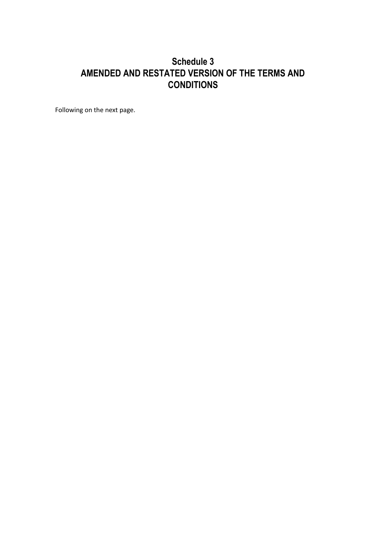# **Schedule 3 AMENDED AND RESTATED VERSION OF THE TERMS AND CONDITIONS**

Following on the next page.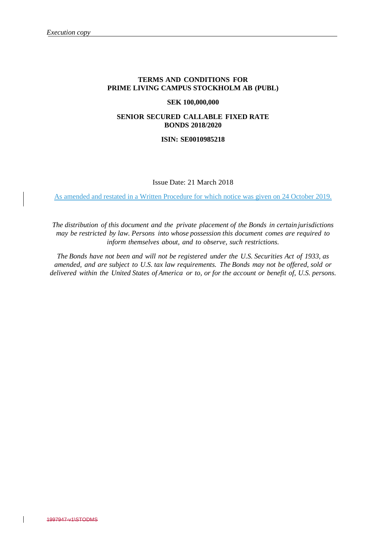## **TERMS AND CONDITIONS FOR PRIME LIVING CAMPUS STOCKHOLM AB (PUBL)**

#### **SEK 100,000,000**

#### **SENIOR SECURED CALLABLE FIXED RATE BONDS 2018/2020**

#### **ISIN: SE0010985218**

#### Issue Date: 21 March 2018

As amended and restated in a Written Procedure for which notice was given on 24 October 2019.

*The distribution of this document and the private placement of the Bonds in certain jurisdictions may be restricted by law. Persons into whose possession this document comes are required to inform themselves about, and to observe, such restrictions.*

*The Bonds have not been and will not be registered under the U.S. Securities Act of 1933, as amended, and are subject to U.S. tax law requirements. The Bonds may not be offered, sold or delivered within the United States of America or to, or for the account or benefit of, U.S. persons.*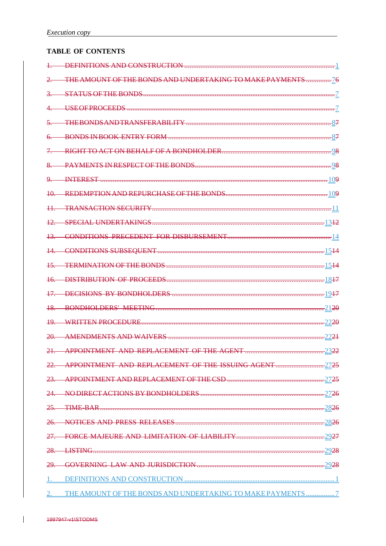## **TABLE OF CONTENTS**

|       | THE AMOUNT OF THE BONDS AND UNDERTAKING TO MAKE PAYMENTS 76 |                   |
|-------|-------------------------------------------------------------|-------------------|
|       |                                                             |                   |
|       |                                                             |                   |
|       |                                                             |                   |
|       |                                                             |                   |
|       |                                                             |                   |
|       |                                                             |                   |
|       |                                                             |                   |
|       |                                                             |                   |
| $+1-$ |                                                             |                   |
| 12    |                                                             |                   |
| $13-$ |                                                             |                   |
|       |                                                             |                   |
|       |                                                             |                   |
|       |                                                             |                   |
| $17-$ |                                                             |                   |
| 18.   |                                                             |                   |
|       |                                                             |                   |
| $20-$ |                                                             |                   |
|       | 21 ADDOINTMENT AND DEDI ACEMENT OF THE ACENT                |                   |
| 22.   | APPOINTMENT AND REPLACEMENT OF THE ISSUING AGENT2725        |                   |
| 23.   |                                                             |                   |
|       |                                                             |                   |
|       | TIME BAR                                                    | -28 <del>26</del> |
|       |                                                             |                   |
| 27    |                                                             |                   |
|       | <b>LISTING</b>                                              |                   |
| 28    |                                                             |                   |
|       |                                                             |                   |
|       |                                                             |                   |
| 2.    | THE AMOUNT OF THE BONDS AND UNDERTAKING TO MAKE PAYMENTS 7  |                   |

 $\overline{\phantom{a}}$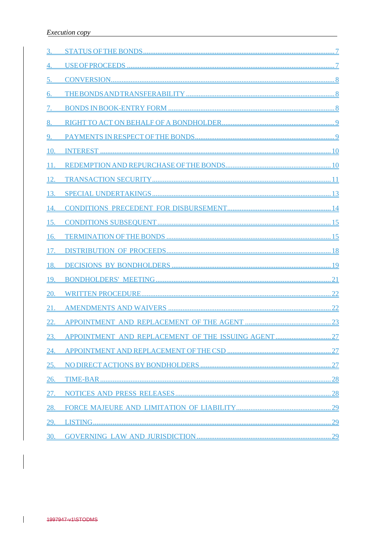| 6.  |                                       |    |
|-----|---------------------------------------|----|
|     |                                       |    |
|     |                                       |    |
|     |                                       |    |
| 10. |                                       |    |
|     |                                       |    |
| 12. |                                       |    |
| 13. |                                       |    |
|     |                                       |    |
| 15. |                                       |    |
| 16. |                                       |    |
|     |                                       |    |
| 18. |                                       |    |
| 19. |                                       |    |
| 20  |                                       |    |
|     |                                       |    |
|     |                                       |    |
| 23. |                                       |    |
| 24. |                                       |    |
| 25. |                                       |    |
| 26. |                                       |    |
| 27. |                                       |    |
| 28. |                                       |    |
| 29. |                                       |    |
| 30  | <b>GOVERNING LAW AND JURISDICTION</b> | 29 |

 $\overline{\phantom{a}}$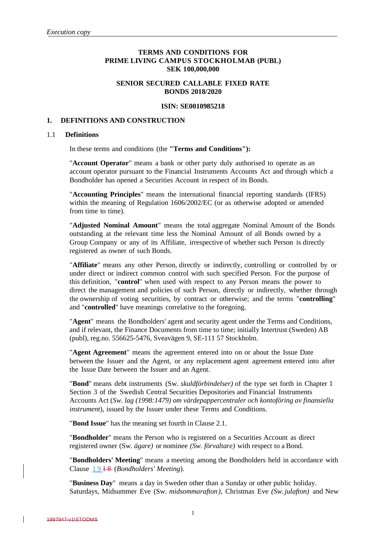#### **TERMS AND CONDITIONS FOR PRIME LIVING CAMPUS STOCKHOLMAB (PUBL) SEK 100,000,000**

## **SENIOR SECURED CALLABLE FIXED RATE BONDS 2018/2020**

#### **ISIN: SE0010985218**

#### <span id="page-17-0"></span>**1. DEFINITIONS AND CONSTRUCTION**

#### 1.1 **Definitions**

In these terms and conditions (the **"Terms and Conditions"):**

"**Account Operator**" means a bank or other party duly authorised to operate as an account operator pursuant to the Financial Instruments Accounts Act and through which a Bondholder has opened a Securities Account in respect of its Bonds.

"**Accounting Principles**" means the international financial reporting standards (IFRS) within the meaning of Regulation 1606/2002/EC (or as otherwise adopted or amended from time to time).

"**Adjusted Nominal Amount**" means the total aggregate Nominal Amount of the Bonds outstanding at the relevant time less the Nominal Amount of all Bonds owned by a Group Company or any of its Affiliate, irrespective of whether such Person is directly registered as owner of such Bonds.

"**Affiliate**" means any other Person, directly or indirectly, controlling or controlled by or under direct or indirect common control with such specified Person. For the purpose of this definition, "**control**" when used with respect to any Person means the power to direct the management and policies of such Person, directly or indirectly, whether through the ownership of voting securities, by contract or otherwise; and the terms "**controlling**" and "**controlled**" have meanings correlative to the foregoing.

"**Agent**" means the Bondholders' agent and security agent under the Terms and Conditions, and if relevant, the Finance Documents from time to time; initially Intertrust (Sweden) AB (publ), reg.no. 556625-5476, Sveavägen 9, SE-111 57 Stockholm.

"**Agent Agreement**" means the agreement entered into on or about the Issue Date between the Issuer and the Agent, or any replacement agent agreement entered into after the Issue Date between the Issuer and an Agent.

"**Bond**" means debt instruments (Sw. *skuldförbindelser)* of the type set forth in Chapter 1 Section 3 of the Swedish Central Securities Depositories and Financial Instruments Accounts Act (*Sw. lag (1998:1479) om värdepappercentraler och kontoföring av finansiella instrument*), issued by the Issuer under these Terms and Conditions.

"**Bond Issue**" has the meaning set fourth in Clause [2.1.](#page-23-3)

"**Bondholder**" means the Person who is registered on a Securities Account as direct registered owner (Sw. *ägare)* or nominee *(Sw. förvaltare)* with respect to a Bond.

"**Bondholders' Meeting**" means a meeting among the Bondholders held in accordance with Clause [1 9](#page-37-0) 1 8 (*Bondholders' Meeting*).

"**Business Day**" means a day in Sweden other than a Sunday or other public holiday. Saturdays, Midsummer Eve (Sw. *midsommarafton),* Christmas Eve *(Sw.julafton)* and New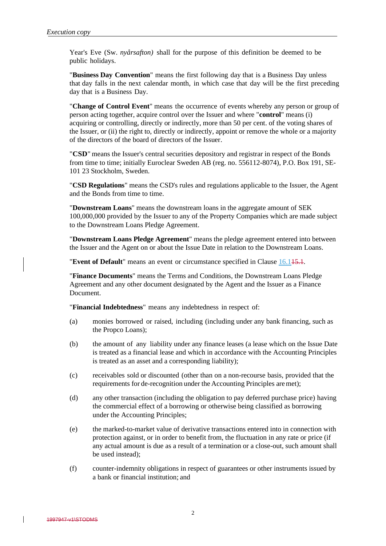Year's Eve (Sw. *nyårsafton)* shall for the purpose of this definition be deemed to be public holidays.

"**Business Day Convention**" means the first following day that is a Business Day unless that day falls in the next calendar month, in which case that day will be the first preceding day that is a Business Day.

"**Change of Control Event**" means the occurrence of events whereby any person or group of person acting together, acquire control over the Issuer and where "**control**" means (i) acquiring or controlling, directly or indirectly, more than 50 per cent. of the voting shares of the Issuer, or (ii) the right to, directly or indirectly, appoint or remove the whole or a majority of the directors of the board of directors of the Issuer.

"**CSD**" means the Issuer's central securities depository and registrar in respect of the Bonds from time to time; initially Euroclear Sweden AB (reg. no. 556112-8074), P.O. Box 191, SE-101 23 Stockholm, Sweden.

"**CSD Regulations**" means the CSD's rules and regulations applicable to the Issuer, the Agent and the Bonds from time to time.

"**Downstream Loans**" means the downstream loans in the aggregate amount of SEK 100,000,000 provided by the Issuer to any of the Property Companies which are made subject to the Downstream Loans Pledge Agreement.

"**Downstream Loans Pledge Agreement**" means the pledge agreement entered into between the Issuer and the Agent on or about the Issue Date in relation to the Downstream Loans.

"**Event of Default**" means an event or circumstance specified in Clause [16.115.1.](#page-31-2)

"**Finance Documents**" means the Terms and Conditions, the Downstream Loans Pledge Agreement and any other document designated by the Agent and the Issuer as a Finance Document.

"**Financial Indebtedness**" means any indebtedness in respect of:

- <span id="page-18-0"></span>(a) monies borrowed or raised, including (including under any bank financing, such as the Propco Loans);
- (b) the amount of any liability under any finance leases (a lease which on the Issue Date is treated as a financial lease and which in accordance with the Accounting Principles is treated as an asset and a corresponding liability);
- (c) receivables sold or discounted (other than on a non-recourse basis, provided that the requirements for de-recognition under the Accounting Principles aremet);
- (d) any other transaction (including the obligation to pay deferred purchase price) having the commercial effect of a borrowing or otherwise being classified as borrowing under the Accounting Principles;
- (e) the marked-to-market value of derivative transactions entered into in connection with protection against, or in order to benefit from, the fluctuation in any rate or price (if any actual amount is due as a result of a termination or a close-out, such amount shall be used instead);
- <span id="page-18-1"></span>(f) counter-indemnity obligations in respect of guarantees or other instruments issued by a bank or financial institution; and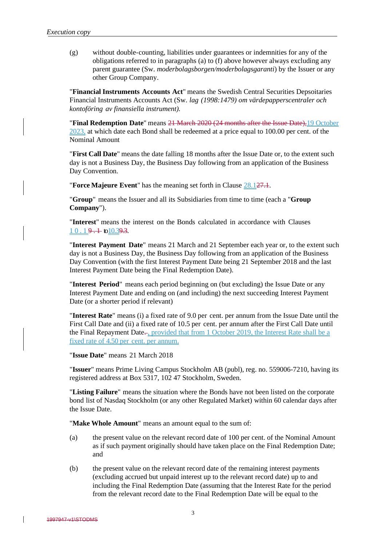(g) without double-counting, liabilities under guarantees or indemnities for any of the obligations referred to in paragraph[s \(a\)](#page-18-0) to [\(f\)](#page-18-1) above however always excluding any parent guarantee (Sw. *moderbolagsborgen/moderbolagsgaranti*) by the Issuer or any other Group Company.

"**Financial Instruments Accounts Act**" means the Swedish Central Securities Depsoitaries Financial Instruments Accounts Act (Sw. *lag (1998:1479) om värdepapperscentraler och kontoföring av finansiella instrument).*

"**Final Redemption Date**" means 21 March 2020 (24 months after the Issue Date),19 October 2023, at which date each Bond shall be redeemed at a price equal to 100.00 per cent. of the Nominal Amount

"**First Call Date**" means the date falling 18 months after the Issue Date or, to the extent such day is not a Business Day, the Business Day following from an application of the Business Day Convention.

"**Force Majeure Event**" has the meaning set forth in Clause [28.127.1.](#page-45-3)

"**Group**" means the Issuer and all its Subsidiaries from time to time (each a "**Group Company**").

"**Interest**" means the interest on the Bonds calculated in accordance with Clauses  $10.19 + b010.39.3$  $10.19 + b010.39.3$ .

"**Interest Payment Date**" means 21 March and 21 September each year or, to the extent such day is not a Business Day, the Business Day following from an application of the Business Day Convention (with the first Interest Payment Date being 21 September 2018 and the last Interest Payment Date being the Final Redemption Date).

"**Interest Period**" means each period beginning on (but excluding) the Issue Date or any Interest Payment Date and ending on (and including) the next succeeding Interest Payment Date (or a shorter period if relevant)

"**Interest Rate**" means (i) a fixed rate of 9.0 per cent. per annum from the Issue Date until the First Call Date and (ii) a fixed rate of 10.5 per cent. per annum after the First Call Date until the Final Repayment Date $\frac{1}{n}$ , provided that from 1 October 2019, the Interest Rate shall be a fixed rate of 4.50 per cent. per annum.

"**Issue Date**" means 21 March 2018

"**Issuer**" means Prime Living Campus Stockholm AB (publ), reg. no. 559006-7210, having its registered address at Box 5317, 102 47 Stockholm, Sweden.

"**Listing Failure**" means the situation where the Bonds have not been listed on the corporate bond list of Nasdaq Stockholm (or any other Regulated Market) within 60 calendar days after the Issue Date.

"**Make Whole Amount**" means an amount equal to the sum of:

- (a) the present value on the relevant record date of 100 per cent. of the Nominal Amount as if such payment originally should have taken place on the Final Redemption Date; and
- (b) the present value on the relevant record date of the remaining interest payments (excluding accrued but unpaid interest up to the relevant record date) up to and including the Final Redemption Date (assuming that the Interest Rate for the period from the relevant record date to the Final Redemption Date will be equal to the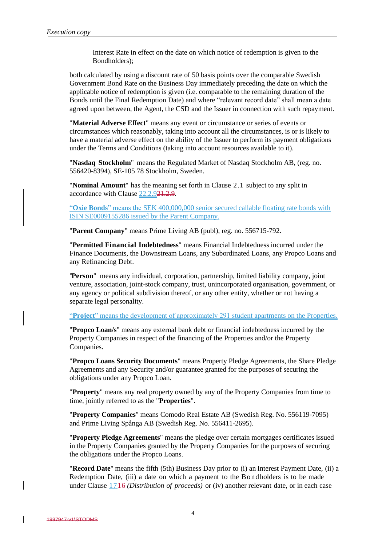Interest Rate in effect on the date on which notice of redemption is given to the Bondholders);

both calculated by using a discount rate of 50 basis points over the comparable Swedish Government Bond Rate on the Business Day immediately preceding the date on which the applicable notice of redemption is given (i.e. comparable to the remaining duration of the Bonds until the Final Redemption Date) and where "relevant record date" shall mean a date agreed upon between, the Agent, the CSD and the Issuer in connection with such repayment.

"**Material Adverse Effect**" means any event or circumstance or series of events or circumstances which reasonably, taking into account all the circumstances, is or is likely to have a material adverse effect on the ability of the Issuer to perform its payment obligations under the Terms and Conditions (taking into account resources available to it).

"**Nasdaq Stockholm**" means the Regulated Market of Nasdaq Stockholm AB, (reg. no. 556420-8394), SE-105 78 Stockholm, Sweden.

"**Nominal Amount**" has the meaning set forth in Clause [2.1](#page-23-3) subject to any split in accordance with Clause [22.2.921.2.9.](#page-41-0)

"**Oxie Bonds**" means the SEK 400,000,000 senior secured callable floating rate bonds with ISIN SE0009155286 issued by the Parent Company.

"**Parent Company**" means Prime Living AB (publ), reg. no. 556715-792.

"**Permitted Financial Indebtedness**" means Financial Indebtedness incurred under the Finance Documents, the Downstream Loans, any Subordinated Loans, any Propco Loans and any Refinancing Debt.

"**Person**" means any individual, corporation, partnership, limited liability company, joint venture, association, joint-stock company, trust, unincorporated organisation, government, or any agency or political subdivision thereof, or any other entity, whether or not having a separate legal personality.

"**Project**" means the development of approximately 291 student apartments on the Properties.

"**Propco Loan/s**" means any external bank debt or financial indebtedness incurred by the Property Companies in respect of the financing of the Properties and/or the Property Companies.

"**Propco Loans Security Documents**" means Property Pledge Agreements, the Share Pledge Agreements and any Security and/or guarantee granted for the purposes of securing the obligations under any Propco Loan.

"**Property**" means any real property owned by any of the Property Companies from time to time, jointly referred to as the "**Properties**".

"**Property Companies**" means Comodo Real Estate AB (Swedish Reg. No. 556119-7095) and Prime Living Spånga AB (Swedish Reg. No. 556411-2695).

"**Property Pledge Agreements**" means the pledge over certain mortgages certificates issued in the Property Companies granted by the Property Companies for the purposes of securing the obligations under the Propco Loans.

"**Record Date**" means the fifth (5th) Business Day prior to (i) an Interest Payment Date, (ii) a Redemption Date, (iii) a date on which a payment to the Bondholders is to be made under Clause [1716](#page-34-0) *(Distribution of proceeds)* or (iv) another relevant date, or in each case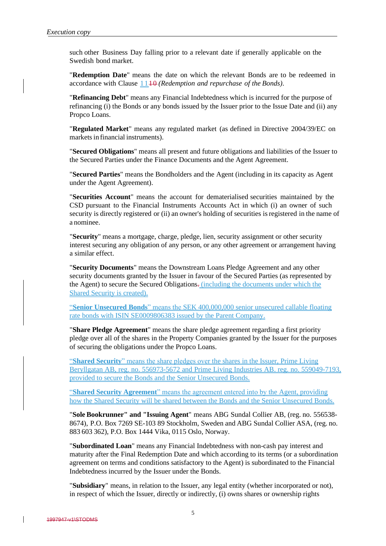such other Business Day falling prior to a relevant date if generally applicable on the Swedish bond market.

"**Redemption Date**" means the date on which the relevant Bonds are to be redeemed in accordance with Clause  $1110$  *(Redemption and repurchase of the Bonds).* 

"**Refinancing Debt**" means any Financial Indebtedness which is incurred for the purpose of refinancing (i) the Bonds or any bonds issued by the Issuer prior to the Issue Date and (ii) any Propco Loans.

"**Regulated Market**" means any regulated market (as defined in Directive 2004/39/EC on markets in financial instruments).

"**Secured Obligations**" means all present and future obligations and liabilities of the Issuer to the Secured Parties under the Finance Documents and the Agent Agreement.

"**Secured Parties**" means the Bondholders and the Agent (including in its capacity as Agent under the Agent Agreement).

"**Securities Account**" means the account for dematerialised securities maintained by the CSD pursuant to the Financial Instruments Accounts Act in which (i) an owner of such security is directly registered or (ii) an owner's holding of securities isregistered in the name of a nominee.

"**Security**" means a mortgage, charge, pledge, lien, security assignment or other security interest securing any obligation of any person, or any other agreement or arrangement having a similar effect.

"**Security Documents**" means the Downstream Loans Pledge Agreement and any other security documents granted by the Issuer in favour of the Secured Parties (as represented by the Agent) to secure the Secured Obligations. (including the documents under which the Shared Security is created).

"**Senior Unsecured Bonds**" means the SEK 400,000,000 senior unsecured callable floating rate bonds with ISIN SE0009806383 issued by the Parent Company.

"**Share Pledge Agreement**" means the share pledge agreement regarding a first priority pledge over all of the shares in the Property Companies granted by the Issuer for the purposes of securing the obligations under the Propco Loans.

"**Shared Security**" means the share pledges over the shares in the Issuer, Prime Living Beryllgatan AB, reg. no. 556973-5672 and Prime Living Industries AB. reg. no. 559049-7193, provided to secure the Bonds and the Senior Unsecured Bonds.

"**Shared Security Agreement**" means the agreement entered into by the Agent, providing how the Shared Security will be shared between the Bonds and the Senior Unsecured Bonds.

"**Sole Bookrunner" and "Issuing Agent**" means ABG Sundal Collier AB, (reg. no. 556538- 8674), P.O. Box 7269 SE-103 89 Stockholm, Sweden and ABG Sundal Collier ASA, (reg. no. 883 603 362), P.O. Box 1444 Vika, 0115 Oslo, Norway.

"**Subordinated Loan**" means any Financial Indebtedness with non-cash pay interest and maturity after the Final Redemption Date and which according to its terms (or a subordination agreement on terms and conditions satisfactory to the Agent) is subordinated to the Financial Indebtedness incurred by the Issuer under the Bonds.

"**Subsidiary**" means, in relation to the Issuer, any legal entity (whether incorporated or not), in respect of which the Issuer, directly or indirectly, (i) owns shares or ownership rights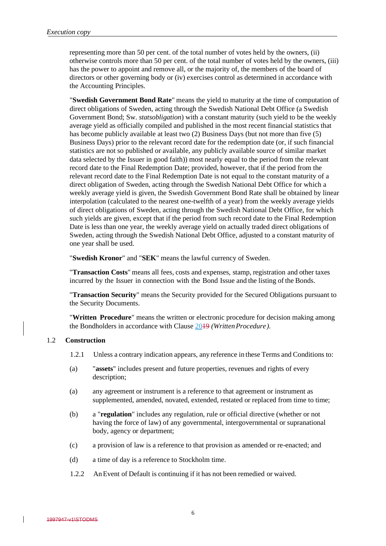representing more than 50 per cent. of the total number of votes held by the owners, (ii) otherwise controls more than 50 per cent. of the total number of votes held by the owners, (iii) has the power to appoint and remove all, or the majority of, the members of the board of directors or other governing body or (iv) exercises control as determined in accordance with the Accounting Principles.

"**Swedish Government Bond Rate**" means the yield to maturity at the time of computation of direct obligations of Sweden, acting through the Swedish National Debt Office (a Swedish Government Bond; Sw. *statsobligation*) with a constant maturity (such yield to be the weekly average yield as officially compiled and published in the most recent financial statistics that has become publicly available at least two (2) Business Days (but not more than five (5) Business Days) prior to the relevant record date for the redemption date (or, if such financial statistics are not so published or available, any publicly available source of similar market data selected by the Issuer in good faith)) most nearly equal to the period from the relevant record date to the Final Redemption Date; provided, however, that if the period from the relevant record date to the Final Redemption Date is not equal to the constant maturity of a direct obligation of Sweden, acting through the Swedish National Debt Office for which a weekly average yield is given, the Swedish Government Bond Rate shall be obtained by linear interpolation (calculated to the nearest one-twelfth of a year) from the weekly average yields of direct obligations of Sweden, acting through the Swedish National Debt Office, for which such yields are given, except that if the period from such record date to the Final Redemption Date is less than one year, the weekly average yield on actually traded direct obligations of Sweden, acting through the Swedish National Debt Office, adjusted to a constant maturity of one year shall be used.

"**Swedish Kronor**" and "**SEK**" means the lawful currency of Sweden.

"**Transaction Costs**" means all fees, costs and expenses, stamp, registration and other taxes incurred by the Issuer in connection with the Bond Issue and the listing of the Bonds.

"**Transaction Security**" means the Security provided for the Secured Obligations pursuant to the Security Documents.

"**Written Procedure**" means the written or electronic procedure for decision making among the Bondholders in accordance with Clause [2019](#page-38-0) *(WrittenProcedure).*

#### 1.2 **Construction**

- 1.2.1 Unless a contrary indication appears, any reference in these Terms and Conditions to:
- (a) "**assets**" includes present and future properties, revenues and rights of every description;
- (a) any agreement or instrument is a reference to that agreement or instrument as supplemented, amended, novated, extended, restated or replaced from time to time;
- (b) a "**regulation**" includes any regulation, rule or official directive (whether or not having the force of law) of any governmental, intergovernmental or supranational body, agency or department;
- (c) a provision of law is a reference to that provision as amended or re-enacted; and
- (d) a time of day is a reference to Stockholm time.
- 1.2.2 AnEvent of Default is continuing if it has not been remedied or waived.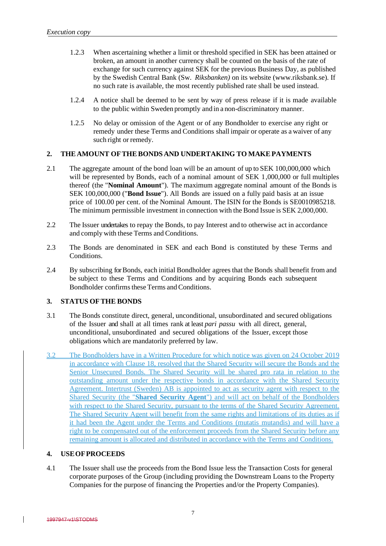- 1.2.3 When ascertaining whether a limit or threshold specified in SEK has been attained or broken, an amount in another currency shall be counted on the basis of the rate of exchange for such currency against SEK for the previous Business Day, as published by the Swedish Central Bank (Sw. *Riksbanken)* on its website (www.riksbank.se). If no such rate is available, the most recently published rate shall be used instead.
- 1.2.4 A notice shall be deemed to be sent by way of press release if it is made available to the public within Sweden promptly and in a non-discriminatory manner.
- 1.2.5 No delay or omission of the Agent or of any Bondholder to exercise any right or remedy under these Terms and Conditions shall impair or operate as a waiver of any such right or remedy.

## <span id="page-23-0"></span>**2. THEAMOUNT OFTHE BONDS AND UNDERTAKING TO MAKEPAYMENTS**

- <span id="page-23-3"></span>2.1 The aggregate amount of the bond loan will be an amount of up to SEK 100,000,000 which will be represented by Bonds, each of a nominal amount of SEK 1,000,000 or full multiples thereof (the "**Nominal Amount**"). The maximum aggregate nominal amount of the Bonds is SEK 100,000,000 ("**Bond Issue**"). All Bonds are issued on a fully paid basis at an issue price of 100.00 per cent. of the Nominal Amount. The ISIN for the Bonds is SE0010985218. The minimum permissible investment in connection with the Bond Issue is SEK 2,000,000.
- 2.2 The Issuer undertakes to repay the Bonds, to pay Interest and to otherwise act in accordance and comply with these Terms and Conditions.
- 2.3 The Bonds are denominated in SEK and each Bond is constituted by these Terms and Conditions.
- 2.4 By subscribing forBonds, each initial Bondholder agrees that the Bonds shall benefit from and be subject to these Terms and Conditions and by acquiring Bonds each subsequent Bondholder confirms these Terms and Conditions.

## <span id="page-23-1"></span>**3. STATUS OFTHE BONDS**

- 3.1 The Bonds constitute direct, general, unconditional, unsubordinated and secured obligations of the Issuer and shall at all times rank at least *pari passu* with all direct, general, unconditional, unsubordinated and secured obligations of the Issuer, except those obligations which are mandatorily preferred by law.
- 3.2 The Bondholders have in a Written Procedure for which notice was given on 24 October 2019 in accordance with Clause 18, resolved that the Shared Security will secure the Bonds and the Senior Unsecured Bonds. The Shared Security will be shared pro rata in relation to the outstanding amount under the respective bonds in accordance with the Shared Security Agreement. Intertrust (Sweden) AB is appointed to act as security agent with respect to the Shared Security (the "**Shared Security Agent**") and will act on behalf of the Bondholders with respect to the Shared Security, pursuant to the terms of the Shared Security Agreement. The Shared Security Agent will benefit from the same rights and limitations of its duties as if it had been the Agent under the Terms and Conditions (mutatis mutandis) and will have a right to be compensated out of the enforcement proceeds from the Shared Security before any remaining amount is allocated and distributed in accordance with the Terms and Conditions.

## <span id="page-23-2"></span>**4. USEOFPROCEEDS**

4.1 The Issuer shall use the proceeds from the Bond Issue less the Transaction Costs for general corporate purposes of the Group (including providing the Downstream Loans to the Property Companies for the purpose of financing the Properties and/or the Property Companies).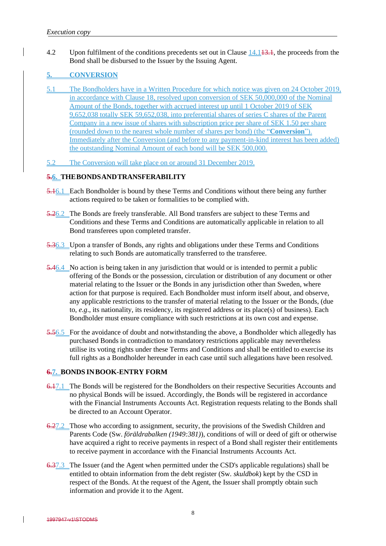4.2 Upon fulfilment of the conditions precedents set out in Clause 14.143.4, the proceeds from the Bond shall be disbursed to the Issuer by the Issuing Agent.

## <span id="page-24-0"></span>**5. CONVERSION**

- 5.1 The Bondholders have in a Written Procedure for which notice was given on 24 October 2019, in accordance with Clause 18, resolved upon conversion of SEK 50,000,000 of the Nominal Amount of the Bonds, together with accrued interest up until 1 October 2019 of SEK 9,652,038 totally SEK 59,652,038, into preferential shares of series C shares of the Parent Company in a new issue of shares with subscription price per share of SEK 1.50 per share (rounded down to the nearest whole number of shares per bond) (the "**Conversion**"). Immediately after the Conversion (and before to any payment-in-kind interest has been added) the outstanding Nominal Amount of each bond will be SEK 500,000.
- 5.2 The Conversion will take place on or around 31 December 2019.

## <span id="page-24-1"></span>**5.6. THEBONDSANDTRANSFERABILITY**

- 5.16.1 Each Bondholder is bound by these Terms and Conditions without there being any further actions required to be taken or formalities to be complied with.
- 5.26.2 The Bonds are freely transferable. All Bond transfers are subject to these Terms and Conditions and these Terms and Conditions are automatically applicable in relation to all Bond transferees upon completed transfer.
- 5.36.3 Upon a transfer of Bonds, any rights and obligations under these Terms and Conditions relating to such Bonds are automatically transferred to the transferee.
- 5.46.4 No action is being taken in any jurisdiction that would or is intended to permit a public offering of the Bonds or the possession, circulation or distribution of any document or other material relating to the Issuer or the Bonds in any jurisdiction other than Sweden, where action for that purpose is required. Each Bondholder must inform itself about, and observe, any applicable restrictions to the transfer of material relating to the Issuer or the Bonds, (due to, *e.g*., its nationality, its residency, its registered address or its place(s) of business). Each Bondholder must ensure compliance with such restrictions at its own cost and expense.
- 5.56.5 For the avoidance of doubt and notwithstanding the above, a Bondholder which allegedly has purchased Bonds in contradiction to mandatory restrictions applicable may nevertheless utilise its voting rights under these Terms and Conditions and shall be entitled to exercise its full rights as a Bondholder hereunder in each case until such allegations have been resolved.

## <span id="page-24-2"></span>**6.7. BONDS INBOOK-ENTRY FORM**

- 6.17.1 The Bonds will be registered for the Bondholders on their respective Securities Accounts and no physical Bonds will be issued. Accordingly, the Bonds will be registered in accordance with the Financial Instruments Accounts Act. Registration requests relating to the Bonds shall be directed to an Account Operator.
- 6.27.2 Those who according to assignment, security, the provisions of the Swedish Children and Parents Code (Sw. *föräldrabalken (1949:381)*), conditions of will or deed of gift or otherwise have acquired a right to receive payments in respect of a Bond shall register their entitlements to receive payment in accordance with the Financial Instruments Accounts Act.
- <span id="page-24-3"></span>6.37.3 The Issuer (and the Agent when permitted under the CSD's applicable regulations) shall be entitled to obtain information from the debt register (Sw. *skuldbok*) kept by the CSD in respect of the Bonds. At the request of the Agent, the Issuer shall promptly obtain such information and provide it to the Agent.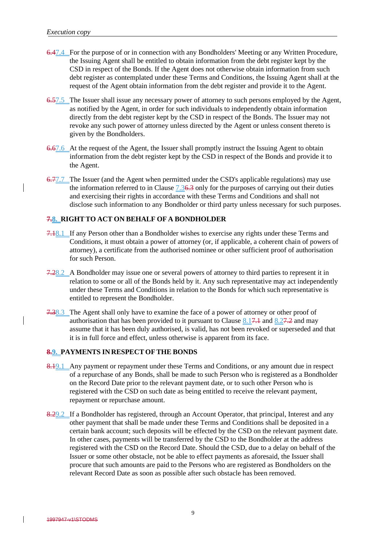- 6.47.4 For the purpose of or in connection with any Bondholders' Meeting or any Written Procedure, the Issuing Agent shall be entitled to obtain information from the debt register kept by the CSD in respect of the Bonds. If the Agent does not otherwise obtain information from such debt register as contemplated under these Terms and Conditions, the Issuing Agent shall at the request of the Agent obtain information from the debt register and provide it to the Agent.
- 6.57.5 The Issuer shall issue any necessary power of attorney to such persons employed by the Agent, as notified by the Agent, in order for such individuals to independently obtain information directly from the debt register kept by the CSD in respect of the Bonds. The Issuer may not revoke any such power of attorney unless directed by the Agent or unless consent thereto is given by the Bondholders.
- 6.67.6 At the request of the Agent, the Issuer shall promptly instruct the Issuing Agent to obtain information from the debt register kept by the CSD in respect of the Bonds and provide it to the Agent.
- 6.77.7 The Issuer (and the Agent when permitted under the CSD's applicable regulations) may use the information referred to in Clause  $7.36.3$  only for the purposes of carrying out their duties and exercising their rights in accordance with these Terms and Conditions and shall not disclose such information to any Bondholder or third party unless necessary for such purposes.

#### <span id="page-25-0"></span>**7.8. RIGHTTO ACT ON BEHALF OF A BONDHOLDER**

- <span id="page-25-2"></span>7.18.1 If any Person other than a Bondholder wishes to exercise any rights under these Terms and Conditions, it must obtain a power of attorney (or, if applicable, a coherent chain of powers of attorney), a certificate from the authorised nominee or other sufficient proof of authorisation for such Person.
- <span id="page-25-3"></span>7.28.2 A Bondholder may issue one or several powers of attorney to third parties to represent it in relation to some or all of the Bonds held by it. Any such representative may act independently under these Terms and Conditions in relation to the Bonds for which such representative is entitled to represent the Bondholder.
- 7.38.3 The Agent shall only have to examine the face of a power of attorney or other proof of authorisation that has been provided to it pursuant to Clause  $8.17.1$  and  $8.27.2$  and may assume that it has been duly authorised, is valid, has not been revoked or superseded and that it is in full force and effect, unless otherwise is apparent from its face.

## <span id="page-25-1"></span>**8.9. PAYMENTS IN RESPECT OFTHE BONDS**

- <span id="page-25-4"></span>8.19.1 Any payment or repayment under these Terms and Conditions, or any amount due in respect of a repurchase of any Bonds, shall be made to such Person who is registered as a Bondholder on the Record Date prior to the relevant payment date, or to such other Person who is registered with the CSD on such date as being entitled to receive the relevant payment, repayment or repurchase amount.
- 8.29.2 If a Bondholder has registered, through an Account Operator, that principal, Interest and any other payment that shall be made under these Terms and Conditions shall be deposited in a certain bank account; such deposits will be effected by the CSD on the relevant payment date. In other cases, payments will be transferred by the CSD to the Bondholder at the address registered with the CSD on the Record Date. Should the CSD, due to a delay on behalf of the Issuer or some other obstacle, not be able to effect payments as aforesaid, the Issuer shall procure that such amounts are paid to the Persons who are registered as Bondholders on the relevant Record Date as soon as possible after such obstacle has been removed.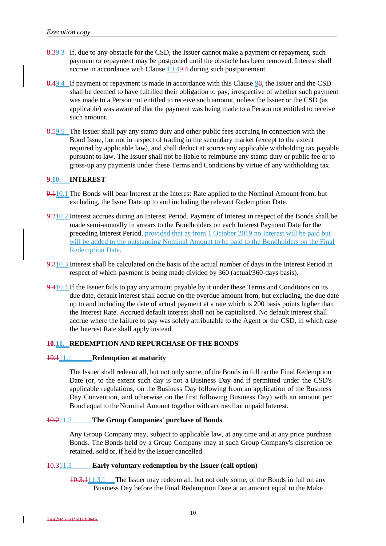- 8.39.3 If, due to any obstacle for the CSD, the Issuer cannot make a payment or repayment, such payment or repayment may be postponed until the obstacle has been removed. Interest shall accrue in accordance with Clause [10.49.4](#page-26-4) during such postponement.
- 8.49.4 If payment or repayment is made in accordance with this Clause [98,](#page-25-1) the Issuer and the CSD shall be deemed to have fulfilled their obligation to pay, irrespective of whether such payment was made to a Person not entitled to receive such amount, unless the Issuer or the CSD (as applicable) was aware of that the payment was being made to a Person not entitled to receive such amount.
- 8.59.5 The Issuer shall pay any stamp duty and other public fees accruing in connection with the Bond Issue, but not in respect of trading in the secondary market (except to the extent required by applicable law), and shall deduct at source any applicable withholding tax payable pursuant to law. The Issuer shall not be liable to reimburse any stamp duty or public fee or to gross-up any payments under these Terms and Conditions by virtue of any withholding tax.

#### <span id="page-26-0"></span>**9.10. INTEREST**

- <span id="page-26-2"></span>9.110.1 The Bonds will bear Interest at the Interest Rate applied to the Nominal Amount from, but excluding, the Issue Date up to and including the relevant Redemption Date.
- 9.210.2 Interest accrues during an Interest Period. Payment of Interest in respect of the Bonds shall be made semi-annually in arrears to the Bondholders on each Interest Payment Date for the preceding Interest Period, provided that as from 1 October 2019 no Interest will be paid but will be added to the outstanding Nominal Amount to be paid to the Bondholders on the Final Redemption Date.
- <span id="page-26-3"></span>9.310.3 Interest shall be calculated on the basis of the actual number of days in the Interest Period in respect of which payment is being made divided by 360 (actual/360-days basis).
- <span id="page-26-4"></span>9.410.4 If the Issuer fails to pay any amount payable by it under these Terms and Conditions on its due date, default interest shall accrue on the overdue amount from, but excluding, the due date up to and including the date of actual payment at a rate which is 200 basis points higher than the Interest Rate. Accrued default interest shall not be capitalised. No default interest shall accrue where the failure to pay was solely attributable to the Agent or the CSD, in which case the Interest Rate shall apply instead.

## <span id="page-26-1"></span>**10.11. REDEMPTION AND REPURCHASE OFTHEBONDS**

#### 10.111.1 **Redemption at maturity**

The Issuer shall redeem all, but not only some, of the Bonds in full on the Final Redemption Date (or, to the extent such day is not a Business Day and if permitted under the CSD's applicable regulations, on the Business Day following from an application of the Business Day Convention, and otherwise on the first following Business Day) with an amount per Bond equal to the Nominal Amount together with accrued but unpaid Interest.

#### <span id="page-26-6"></span>10.211.2 **The Group Companies' purchase of Bonds**

Any Group Company may, subject to applicable law, at any time and at any price purchase Bonds. The Bonds held by a Group Company may at such Group Company's discretion be retained, sold or, if held by the Issuer cancelled.

#### <span id="page-26-7"></span><span id="page-26-5"></span>10.311.3 **Early voluntary redemption by the Issuer (call option)**

10.3.111.3.1 The Issuer may redeem all, but not only some, of the Bonds in full on any Business Day before the Final Redemption Date at an amount equal to the Make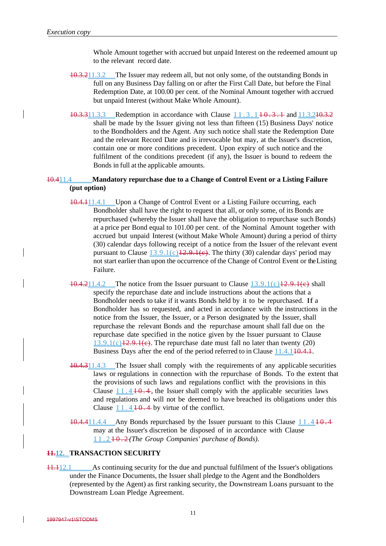Whole Amount together with accrued but unpaid Interest on the redeemed amount up to the relevant record date.

- <span id="page-27-1"></span>10.3.211.3.2 The Issuer may redeem all, but not only some, of the outstanding Bonds in full on any Business Day falling on or after the First Call Date, but before the Final Redemption Date, at 100.00 per cent. of the Nominal Amount together with accrued but unpaid Interest (without Make Whole Amount).
- 10.3.311.3.3 Redemption in accordance with Clause 11.3.110.3.1 and [11.3.210.3.2](#page-27-1) shall be made by the Issuer giving not less than fifteen (15) Business Days' notice to the Bondholders and the Agent. Any such notice shall state the Redemption Date and the relevant Record Date and is irrevocable but may, at the Issuer's discretion, contain one or more conditions precedent. Upon expiry of such notice and the fulfilment of the conditions precedent (if any), the Issuer is bound to redeem the Bonds in full at the applicable amounts.

#### <span id="page-27-3"></span><span id="page-27-2"></span>10.411.4 **Mandatory repurchase due to a Change of Control Event or a Listing Failure (put option)**

- 10.4.111.4.1 Upon a Change of Control Event or a Listing Failure occurring, each Bondholder shall have the right to request that all, or only some, of its Bonds are repurchased (whereby the Issuer shall have the obligation to repurchase such Bonds) at a price per Bond equal to 101.00 per cent. of the Nominal Amount together with accrued but unpaid Interest (without Make Whole Amount) during a period of thirty (30) calendar days following receipt of a notice from the Issuer of the relevant event pursuant to Clause  $13.9.1(c)$ 12.9.1(e). The thirty (30) calendar days' period may not start earlier than upon the occurrence of the Change of Control Event or the Listing Failure.
- $10.4.211.4.2$  The notice from the Issuer pursuant to Clause  $13.9.1(c)12.9.1(e)$  shall specify the repurchase date and include instructions about the actions that a Bondholder needs to take if it wants Bonds held by it to be repurchased. If a Bondholder has so requested, and acted in accordance with the instructions in the notice from the Issuer, the Issuer, or a Person designated by the Issuer, shall repurchase the relevant Bonds and the repurchase amount shall fall due on the repurchase date specified in the notice given by the Issuer pursuant to Clause  $13.9.1(c)$ 12.9.1(e). The repurchase date must fall no later than twenty (20) Business Days after the end of the period referred to in Clause 11.4.140.4.1.
- 10.4.311.4.3 The Issuer shall comply with the requirements of any applicable securities laws or regulations in connection with the repurchase of Bonds. To the extent that the provisions of such laws and regulations conflict with the provisions in this Clause  $11.410.4$ , the Issuer shall comply with the applicable securities laws and regulations and will not be deemed to have breached its obligations under this Clause  $11.410.4$  $11.410.4$  by virtue of the conflict.
- $10.4.411.4.4$  $10.4.411.4.4$  $10.4.411.4.4$  Any Bonds repurchased by the Issuer pursuant to this Clause  $11.410.4$ may at the Issuer's discretion be disposed of in accordance with Clause [1 1 . 2](#page-26-6) 1 0 . 2 *(The Group Companies' purchase of Bonds).*

#### <span id="page-27-0"></span>**11.12. TRANSACTION SECURITY**

11.112.1 As continuing security for the due and punctual fulfilment of the Issuer's obligations under the Finance Documents, the Issuer shall pledge to the Agent and the Bondholders (represented by the Agent) as first ranking security, the Downstream Loans pursuant to the Downstream Loan Pledge Agreement.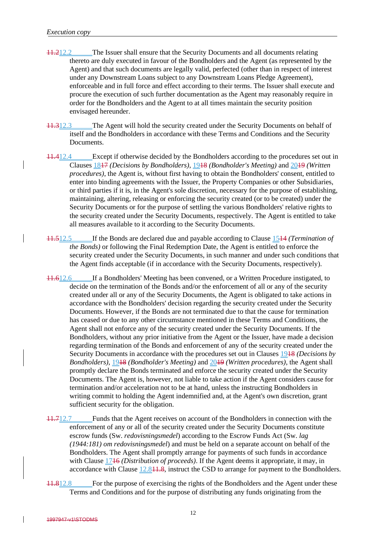- 11.212.2 The Issuer shall ensure that the Security Documents and all documents relating thereto are duly executed in favour of the Bondholders and the Agent (as represented by the Agent) and that such documents are legally valid, perfected (other than in respect of interest under any Downstream Loans subject to any Downstream Loans Pledge Agreement), enforceable and in full force and effect according to their terms. The Issuer shall execute and procure the execution of such further documentation as the Agent may reasonably require in order for the Bondholders and the Agent to at all times maintain the security position envisaged hereunder.
- 11.312.3 The Agent will hold the security created under the Security Documents on behalf of itself and the Bondholders in accordance with these Terms and Conditions and the Security Documents.
- 11.412.4 Except if otherwise decided by the Bondholders according to the procedures set out in Clauses [1817](#page-35-0) *(Decisions by Bondholders)*, [1918](#page-37-0) *(Bondholder's Meeting)* and [2019](#page-38-0) *(Written procedures)*, the Agent is, without first having to obtain the Bondholders' consent, entitled to enter into binding agreements with the Issuer, the Property Companies or other Subsidiaries, or third parties if it is, in the Agent's sole discretion, necessary for the purpose of establishing, maintaining, altering, releasing or enforcing the security created (or to be created) under the Security Documents or for the purpose of settling the various Bondholders' relative rights to the security created under the Security Documents, respectively. The Agent is entitled to take all measures available to it according to the Security Documents.
- 11.512.5 If the Bonds are declared due and payable according to Clause [1514](#page-31-0) *(Termination of the Bonds)* or following the Final Redemption Date, the Agent is entitled to enforce the security created under the Security Documents, in such manner and under such conditions that the Agent finds acceptable (if in accordance with the Security Documents, respectively).
- 11.612.6 If a Bondholders' Meeting has been convened, or a Written Procedure instigated, to decide on the termination of the Bonds and/or the enforcement of all or any of the security created under all or any of the Security Documents, the Agent is obligated to take actions in accordance with the Bondholders' decision regarding the security created under the Security Documents. However, if the Bonds are not terminated due to that the cause for termination has ceased or due to any other circumstance mentioned in these Terms and Conditions, the Agent shall not enforce any of the security created under the Security Documents. If the Bondholders, without any prior initiative from the Agent or the Issuer, have made a decision regarding termination of the Bonds and enforcement of any of the security created under the Security Documents in accordance with the procedures set out in Clauses [1918](#page-37-0) *(Decisions by Bondholders*), <u>1948</u> *(Bondholder's Meeting)* and  $\frac{2019}{ }$  *(Written procedures)*, the Agent shall promptly declare the Bonds terminated and enforce the security created under the Security Documents. The Agent is, however, not liable to take action if the Agent considers cause for termination and/or acceleration not to be at hand, unless the instructing Bondholders in writing commit to holding the Agent indemnified and, at the Agent's own discretion, grant sufficient security for the obligation.
- <span id="page-28-1"></span>11.712.7 Funds that the Agent receives on account of the Bondholders in connection with the enforcement of any or all of the security created under the Security Documents constitute escrow funds (Sw. *redovisningsmedel*) according to the Escrow Funds Act (Sw. *lag (1944:181) om redovisningsmedel*) and must be held on a separate account on behalf of the Bondholders. The Agent shall promptly arrange for payments of such funds in accordance with Clause [1716](#page-34-0) *(Distribution of proceeds)*. If the Agent deems it appropriate, it may, in accordance with Clause  $12.811.8$ , instruct the CSD to arrange for payment to the Bondholders.
- <span id="page-28-0"></span>11.812.8 For the purpose of exercising the rights of the Bondholders and the Agent under these Terms and Conditions and for the purpose of distributing any funds originating from the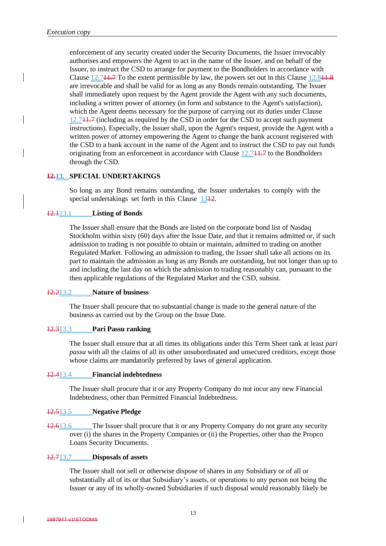enforcement of any security created under the Security Documents, the Issuer irrevocably authorises and empowers the Agent to act in the name of the Issuer, and on behalf of the Issuer, to instruct the CSD to arrange for payment to the Bondholders in accordance with Clause  $12.711.7$  To the extent permissible by law, the powers set out in this Clause  $12.811.8$ are irrevocable and shall be valid for as long as any Bonds remain outstanding. The Issuer shall immediately upon request by the Agent provide the Agent with any such documents, including a written power of attorney (in form and substance to the Agent's satisfaction), which the Agent deems necessary for the purpose of carrying out its duties under Clause [12.711.7](#page-28-1) (including as required by the CSD in order for the CSD to accept such payment instructions). Especially, the Issuer shall, upon the Agent's request, provide the Agent with a written power of attorney empowering the Agent to change the bank account registered with the CSD to a bank account in the name of the Agent and to instruct the CSD to pay out funds originating from an enforcement in accordance with Clause  $12.741.7$  to the Bondholders through the CSD.

## <span id="page-29-0"></span>**12.13. SPECIAL UNDERTAKINGS**

So long as any Bond remains outstanding, the Issuer undertakes to comply with the special undertakings set forth in this Clause 1342.

#### <span id="page-29-1"></span>12.113.1 **Listing of Bonds**

The Issuer shall ensure that the Bonds are listed on the corporate bond list of Nasdaq Stockholm within sixty (60) days after the Issue Date, and that it remains admitted or, if such admission to trading is not possible to obtain or maintain, admitted to trading on another Regulated Market. Following an admission to trading, the Issuer shall take all actions on its part to maintain the admission as long as any Bonds are outstanding, but not longer than up to and including the last day on which the admission to trading reasonably can, pursuant to the then applicable regulations of the Regulated Market and the CSD, subsist.

#### 12.213.2 **Nature of business**

The Issuer shall procure that no substantial change is made to the general nature of the business as carried out by the Group on the Issue Date.

#### 12.313.3 **Pari Passu ranking**

The Issuer shall ensure that at all times its obligations under this Term Sheet rank at least *pari passu* with all the claims of all its other unsubordinated and unsecured creditors, except those whose claims are mandatorily preferred by laws of general application.

#### 12.413.4 **Financial indebtedness**

The Issuer shall procure that it or any Property Company do not incur any new Financial Indebtedness, other than Permitted Financial Indebtedness.

#### 12.513.5 **Negative Pledge**

12.613.6 The Issuer shall procure that it or any Property Company do not grant any security over (i) the shares in the Property Companies or (ii) the Properties, other than the Propco Loans Security Documents.

#### 12.713.7 **Disposals of assets**

The Issuer shall not sell or otherwise dispose of shares in any Subsidiary or of all or substantially all of its or that Subsidiary's assets, or operations to any person not being the Issuer or any of its wholly-owned Subsidiaries if such disposal would reasonably likely be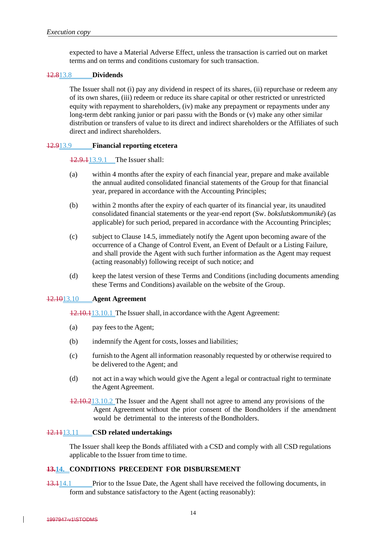expected to have a Material Adverse Effect, unless the transaction is carried out on market terms and on terms and conditions customary for such transaction.

#### 12.813.8 **Dividends**

The Issuer shall not (i) pay any dividend in respect of its shares, (ii) repurchase or redeem any of its own shares, (iii) redeem or reduce its share capital or other restricted or unrestricted equity with repayment to shareholders, (iv) make any prepayment or repayments under any long-term debt ranking junior or pari passu with the Bonds or (v) make any other similar distribution or transfers of value to its direct and indirect shareholders or the Affiliates of such direct and indirect shareholders.

#### 12.913.9 **Financial reporting etcetera**

12.9.113.9.1 The Issuer shall:

- (a) within 4 months after the expiry of each financial year, prepare and make available the annual audited consolidated financial statements of the Group for that financial year, prepared in accordance with the Accounting Principles;
- (b) within 2 months after the expiry of each quarter of its financial year, its unaudited consolidated financial statements or the year-end report (Sw. *bokslutskommuniké*) (as applicable) for such period, prepared in accordance with the Accounting Principles;
- <span id="page-30-2"></span>(c) subject to Clause 14.5, immediately notify the Agent upon becoming aware of the occurrence of a Change of Control Event, an Event of Default or a Listing Failure, and shall provide the Agent with such further information as the Agent may request (acting reasonably) following receipt of such notice; and
- (d) keep the latest version of these Terms and Conditions (including documents amending these Terms and Conditions) available on the website of the Group.

#### 12.1013.10 **Agent Agreement**

12.10.113.10.1 The Issuer shall, in accordance with the Agent Agreement:

- (a) pay feesto the Agent;
- (b) indemnify the Agent for costs, losses and liabilities;
- (c) furnish to the Agent all information reasonably requested by or otherwise required to be delivered to the Agent; and
- (d) not act in a way which would give the Agent a legal or contractual right to terminate the Agent Agreement.
- 12.10.213.10.2 The Issuer and the Agent shall not agree to amend any provisions of the Agent Agreement without the prior consent of the Bondholders if the amendment would be detrimental to the interests of the Bondholders.

#### 12.1113.11 **CSD related undertakings**

The Issuer shall keep the Bonds affiliated with a CSD and comply with all CSD regulations applicable to the Issuer from time to time.

#### <span id="page-30-0"></span>**13.14. CONDITIONS PRECEDENT FOR DISBURSEMENT**

<span id="page-30-1"></span>13.114.1 Prior to the Issue Date, the Agent shall have received the following documents, in form and substance satisfactory to the Agent (acting reasonably):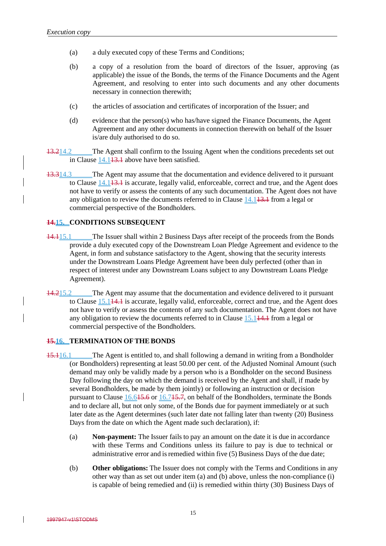- (a) a duly executed copy of these Terms and Conditions;
- (b) a copy of a resolution from the board of directors of the Issuer, approving (as applicable) the issue of the Bonds, the terms of the Finance Documents and the Agent Agreement, and resolving to enter into such documents and any other documents necessary in connection therewith;
- (c) the articles of association and certificates of incorporation of the Issuer; and
- (d) evidence that the person(s) who has/have signed the Finance Documents, the Agent Agreement and any other documents in connection therewith on behalf of the Issuer is/are duly authorised to do so.
- 13.214.2 The Agent shall confirm to the Issuing Agent when the conditions precedents set out in Clause  $14.143.1$  above have been satisfied.
- 13.314.3 The Agent may assume that the documentation and evidence delivered to it pursuant to Clause [14.113.1](#page-30-1) is accurate, legally valid, enforceable, correct and true, and the Agent does not have to verify or assess the contents of any such documentation. The Agent does not have any obligation to review the documents referred to in Clause  $14.143.1$  from a legal or commercial perspective of the Bondholders.

#### <span id="page-31-0"></span>**14.15. CONDITIONS SUBSEQUENT**

- <span id="page-31-3"></span>14.115.1 The Issuer shall within 2 Business Days after receipt of the proceeds from the Bonds provide a duly executed copy of the Downstream Loan Pledge Agreement and evidence to the Agent, in form and substance satisfactory to the Agent, showing that the security interests under the Downstream Loans Pledge Agreement have been duly perfected (other than in respect of interest under any Downstream Loans subject to any Downstream Loans Pledge Agreement).
- 14.215.2 The Agent may assume that the documentation and evidence delivered to it pursuant to Clause 15.144.4 is accurate, legally valid, enforceable, correct and true, and the Agent does not have to verify or assess the contents of any such documentation. The Agent does not have any obligation to review the documents referred to in Clause [15.114.1](#page-31-3) from a legal or commercial perspective of the Bondholders.

## <span id="page-31-1"></span>**15.16. TERMINATION OF THE BONDS**

- <span id="page-31-2"></span>15.116.1 The Agent is entitled to, and shall following a demand in writing from a Bondholder (or Bondholders) representing at least 50.00 per cent. of the Adjusted Nominal Amount (such demand may only be validly made by a person who is a Bondholder on the second Business Day following the day on which the demand is received by the Agent and shall, if made by several Bondholders, be made by them jointly) or following an instruction or decision pursuant to Clause [16.615.6](#page-33-0) or [16.715.7,](#page-34-1) on behalf of the Bondholders, terminate the Bonds and to declare all, but not only some, of the Bonds due for payment immediately or at such later date as the Agent determines (such later date not falling later than twenty (20) Business Days from the date on which the Agent made such declaration), if:
	- (a) **Non-payment:** The Issuer fails to pay an amount on the date it is due in accordance with these Terms and Conditions unless its failure to pay is due to technical or administrative error and is remedied within five (5) Business Days of the due date;
	- (b) **Other obligations:** The Issuer does not comply with the Terms and Conditions in any other way than as set out under item (a) and (b) above, unless the non-compliance (i) is capable of being remedied and (ii) is remedied within thirty (30) Business Days of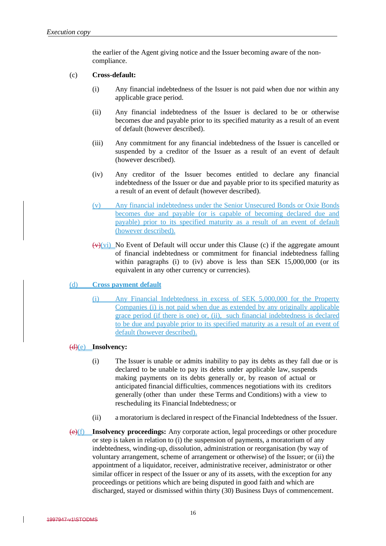the earlier of the Agent giving notice and the Issuer becoming aware of the noncompliance.

#### <span id="page-32-0"></span>(c) **Cross-default:**

- (i) Any financial indebtedness of the Issuer is not paid when due nor within any applicable grace period.
- (ii) Any financial indebtedness of the Issuer is declared to be or otherwise becomes due and payable prior to its specified maturity as a result of an event of default (however described).
- (iii) Any commitment for any financial indebtedness of the Issuer is cancelled or suspended by a creditor of the Issuer as a result of an event of default (however described).
- (iv) Any creditor of the Issuer becomes entitled to declare any financial indebtedness of the Issuer or due and payable prior to its specified maturity as a result of an event of default (however described).
- (v) Any financial indebtedness under the Senior Unsecured Bonds or Oxie Bonds becomes due and payable (or is capable of becoming declared due and payable) prior to its specified maturity as a result of an event of default (however described).
- $(v)(vi)$  No Event of Default will occur under this Clause [\(c\)](#page-32-0) if the aggregate amount of financial indebtedness or commitment for financial indebtedness falling within paragraphs (i) to (iv) above is less than SEK 15,000,000 (or its equivalent in any other currency or currencies).

#### <span id="page-32-1"></span>(d) **Cross payment default**

(i) Any Financial Indebtedness in excess of SEK 5,000,000 for the Property Companies (i) is not paid when due as extended by any originally applicable grace period (if there is one) or, (ii), such financial indebtedness is declared to be due and payable prior to its specified maturity as a result of an event of default (however described).

#### (d)(e) **Insolvency:**

- (i) The Issuer is unable or admits inability to pay its debts as they fall due or is declared to be unable to pay its debts under applicable law, suspends making payments on its debts generally or, by reason of actual or anticipated financial difficulties, commences negotiations with its creditors generally (other than under these Terms and Conditions) with a view to rescheduling its Financial Indebtedness; or
- (ii) a moratorium is declared in respect ofthe Financial Indebtedness of the Issuer.
- (e)(f) **Insolvency proceedings:** Any corporate action, legal proceedings or other procedure or step is taken in relation to (i) the suspension of payments, a moratorium of any indebtedness, winding-up, dissolution, administration or reorganisation (by way of voluntary arrangement, scheme of arrangement or otherwise) of the Issuer; or (ii) the appointment of a liquidator, receiver, administrative receiver, administrator or other similar officer in respect of the Issuer or any of its assets, with the exception for any proceedings or petitions which are being disputed in good faith and which are discharged, stayed or dismissed within thirty (30) Business Days of commencement.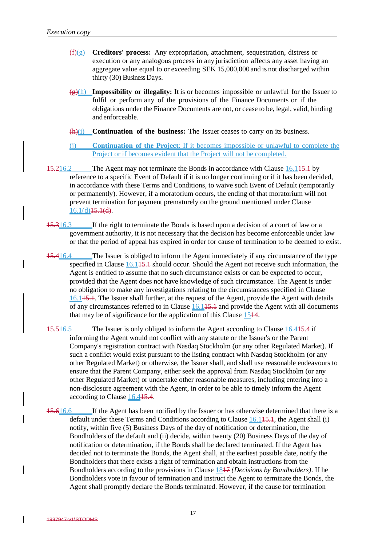- (f)(g) **Creditors' process:** Any expropriation, attachment, sequestration, distress or execution or any analogous process in any jurisdiction affects any asset having an aggregate value equal to or exceeding SEK 15,000,000 and is not discharged within thirty (30) Business Days.
- $\frac{g(h)}{h}$  **Impossibility or illegality:** It is or becomes impossible or unlawful for the Issuer to fulfil or perform any of the provisions of the Finance Documents or if the obligations under the Finance Documents are not, or cease to be, legal, valid, binding andenforceable.
- (h)(i) **Continuation of the business:** The Issuer ceases to carry on its business.
- (j) **Continuation of the Project**: If it becomes impossible or unlawful to complete the Project or if becomes evident that the Project will not be completed.
- 15.216.2 The Agent may not terminate the Bonds in accordance with Clause [16.115.1](#page-31-2) by reference to a specific Event of Default if it is no longer continuing or if it has been decided, in accordance with these Terms and Conditions, to waive such Event of Default (temporarily or permanently). However, if a moratorium occurs, the ending of that moratorium will not prevent termination for payment prematurely on the ground mentioned under Clause  $16.1(d)$ **15.1(d).**
- 15.316.3 If the right to terminate the Bonds is based upon a decision of a court of law or a government authority, it is not necessary that the decision has become enforceable under law or that the period of appeal has expired in order for cause of termination to be deemed to exist.
- <span id="page-33-1"></span>15.416.4 The Issuer is obliged to inform the Agent immediately if any circumstance of the type specified in Clause 16.1<del>15.1</del> should occur. Should the Agent not receive such information, the Agent is entitled to assume that no such circumstance exists or can be expected to occur, provided that the Agent does not have knowledge of such circumstance. The Agent is under no obligation to make any investigations relating to the circumstances specified in Clause [16.115.1.](#page-31-2) The Issuer shall further, at the request of the Agent, provide the Agent with details of any circumstances referred to in Clause [16.115.1](#page-31-2) and provide the Agent with all documents that may be of significance for the application of this Clause  $1544$ .
- 15.516.5 The Issuer is only obliged to inform the Agent according to Clause [16.415.4](#page-33-1) if informing the Agent would not conflict with any statute or the Issuer's or the Parent Company's registration contract with Nasdaq Stockholm (or any other Regulated Market). If such a conflict would exist pursuant to the listing contract with Nasdaq Stockholm (or any other Regulated Market) or otherwise, the Issuer shall, and shall use reasonable endeavours to ensure that the Parent Company, either seek the approval from Nasdaq Stockholm (or any other Regulated Market) or undertake other reasonable measures, including entering into a non-disclosure agreement with the Agent, in order to be able to timely inform the Agent according to Clause [16.415.4.](#page-33-1)
- <span id="page-33-0"></span>15.616.6 If the Agent has been notified by the Issuer or has otherwise determined that there is a default under these Terms and Conditions according to Clause  $16.145.1$ , the Agent shall (i) notify, within five (5) Business Days of the day of notification or determination, the Bondholders of the default and (ii) decide, within twenty (20) Business Days of the day of notification or determination, if the Bonds shall be declared terminated. If the Agent has decided not to terminate the Bonds, the Agent shall, at the earliest possible date, notify the Bondholders that there exists a right of termination and obtain instructions from the Bondholders according to the provisions in Clause [1817](#page-35-0) *(Decisions by Bondholders)*. If he Bondholders vote in favour of termination and instruct the Agent to terminate the Bonds, the Agent shall promptly declare the Bonds terminated. However, if the cause for termination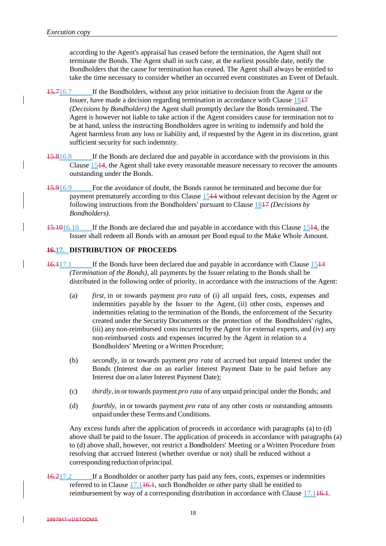according to the Agent's appraisal has ceased before the termination, the Agent shall not terminate the Bonds. The Agent shall in such case, at the earliest possible date, notify the Bondholders that the cause for termination has ceased. The Agent shall always be entitled to take the time necessary to consider whether an occurred event constitutes an Event of Default.

- <span id="page-34-1"></span>15.716.7 If the Bondholders, without any prior initiative to decision from the Agent or the Issuer, have made a decision regarding termination in accordance with Clause [1817](#page-35-0) *(Decisions by Bondholders)* the Agent shall promptly declare the Bonds terminated. The Agent is however not liable to take action if the Agent considers cause for termination not to be at hand, unless the instructing Bondholders agree in writing to indemnify and hold the Agent harmless from any loss or liability and, if requested by the Agent in its discretion, grant sufficient security for such indemnity.
- 15.816.8 If the Bonds are declared due and payable in accordance with the provisions in this Clause [1514,](#page-31-0) the Agent shall take every reasonable measure necessary to recover the amounts outstanding under the Bonds.
- 15.916.9 For the avoidance of doubt, the Bonds cannot be terminated and become due for payment prematurely according to this Clause [1514](#page-31-0) without relevant decision by the Agent or following instructions from the Bondholders' pursuant to Clause [1817](#page-35-0) *(Decisions by Bondholders)*.
- 15.1016.10 If the Bonds are declared due and payable in accordance with this Clause 1544, the Issuer shall redeem all Bonds with an amount per Bond equal to the Make Whole Amount.

#### <span id="page-34-0"></span>**16.17. DISTRIBUTION OF PROCEEDS**

- <span id="page-34-2"></span>16.117.1 If the Bonds have been declared due and payable in accordance with Clause [1514](#page-31-0) *(Termination of the Bonds)*, all payments by the Issuer relating to the Bonds shall be distributed in the following order of priority, in accordance with the instructions of the Agent:
	- (a) *first,* in or towards payment *pro rata* of (i) all unpaid fees, costs, expenses and indemnities payable by the Issuer to the Agent, (ii) other costs, expenses and indemnities relating to the termination of the Bonds, the enforcement of the Security created under the Security Documents or the protection of the Bondholders' rights, (iii) any non-reimbursed costs incurred by the Agent for external experts, and (iv) any non-reimbursed costs and expenses incurred by the Agent in relation to a Bondholders' Meeting or aWritten Procedure;
	- (b) *secondly,* in or towards payment *pro rata* of accrued but unpaid Interest under the Bonds (Interest due on an earlier Interest Payment Date to be paid before any Interest due on a later Interest Payment Date);
	- (c) *thirdly,* in or towards payment *pro rata* of any unpaid principal under the Bonds; and
	- (d) *fourthly,* in or towards payment *pro rata* of any other costs or outstanding amounts unpaid under these Terms and Conditions.

Any excess funds after the application of proceeds in accordance with paragraphs (a) to (d) above shall be paid to the Issuer. The application of proceeds in accordance with paragraphs (a) to (d) above shall, however, not restrict a Bondholders' Meeting or a Written Procedure from resolving that accrued Interest (whether overdue or not) shall be reduced without a corresponding reduction of principal.

16.217.2 If a Bondholder or another party has paid any fees, costs, expenses or indemnities referred to in Clause  $17.146.1$ , such Bondholder or other party shall be entitled to reimbursement by way of a corresponding distribution in accordance with Clause 17.146.1.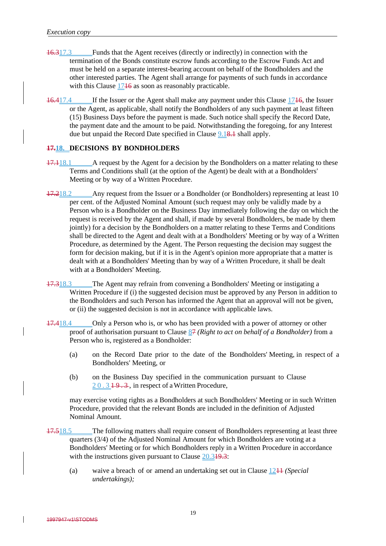- 16.317.3 Funds that the Agent receives (directly or indirectly) in connection with the termination of the Bonds constitute escrow funds according to the Escrow Funds Act and must be held on a separate interest-bearing account on behalf of the Bondholders and the other interested parties. The Agent shall arrange for payments of such funds in accordance with this Clause  $1716$  as soon as reasonably practicable.
- <span id="page-35-2"></span>16.417.4 If the Issuer or the Agent shall make any payment under this Clause 1746, the Issuer or the Agent, as applicable, shall notify the Bondholders of any such payment at least fifteen (15) Business Days before the payment is made. Such notice shall specify the Record Date, the payment date and the amount to be paid. Notwithstanding the foregoing, for any Interest due but unpaid the Record Date specified in Clause [9.18.1](#page-25-4) shall apply.

## <span id="page-35-0"></span>**17.18. DECISIONS BY BONDHOLDERS**

- 17.118.1 A request by the Agent for a decision by the Bondholders on a matter relating to these Terms and Conditions shall (at the option of the Agent) be dealt with at a Bondholders' Meeting or by way of a Written Procedure.
- 17.218.2 Any request from the Issuer or a Bondholder (or Bondholders) representing at least 10 per cent. of the Adjusted Nominal Amount (such request may only be validly made by a Person who is a Bondholder on the Business Day immediately following the day on which the request is received by the Agent and shall, if made by several Bondholders, be made by them jointly) for a decision by the Bondholders on a matter relating to these Terms and Conditions shall be directed to the Agent and dealt with at a Bondholders' Meeting or by way of a Written Procedure, as determined by the Agent. The Person requesting the decision may suggest the form for decision making, but if it is in the Agent's opinion more appropriate that a matter is dealt with at a Bondholders' Meeting than by way of a Written Procedure, it shall be dealt with at a Bondholders' Meeting.
- 17.318.3 The Agent may refrain from convening a Bondholders' Meeting or instigating a Written Procedure if (i) the suggested decision must be approved by any Person in addition to the Bondholders and such Person has informed the Agent that an approval will not be given, or (ii) the suggested decision is not in accordance with applicable laws.
- 17.418.4 Only a Person who is, or who has been provided with a power of attorney or other proof of authorisation pursuant to Clause [87](#page-25-0) *(Right to act on behalf of a Bondholder)* from a Person who is, registered as a Bondholder:
	- (a) on the Record Date prior to the date of the Bondholders' Meeting, in respect of a Bondholders' Meeting, or
	- (b) on the Business Day specified in the communication pursuant to Clause  $20.319.3$  $20.319.3$ , in respect of a Written Procedure,

may exercise voting rights as a Bondholders at such Bondholders' Meeting or in such Written Procedure, provided that the relevant Bonds are included in the definition of Adjusted Nominal Amount.

- <span id="page-35-1"></span>17.518.5 The following matters shall require consent of Bondholders representing at least three quarters (3/4) of the Adjusted Nominal Amount for which Bondholders are voting at a Bondholders' Meeting or for which Bondholders reply in a Written Procedure in accordance with the instructions given pursuant to Clause 20.349.3:
	- (a) waive a breach of or amend an undertaking set out in Clause [1211](#page-27-0) *(Special undertakings);*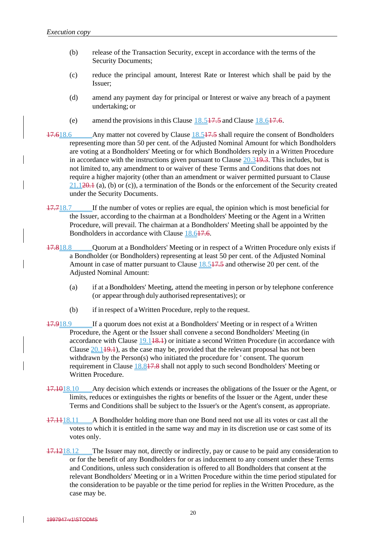- (b) release of the Transaction Security, except in accordance with the terms of the Security Documents;
- (c) reduce the principal amount, Interest Rate or Interest which shall be paid by the Issuer;
- (d) amend any payment day for principal or Interest or waive any breach of a payment undertaking; or
- (e) amend the provisions in this Clause  $18.517.5$  and Clause  $18.617.6$ .
- <span id="page-36-0"></span>17.618.6 Any matter not covered by Clause [18.517.5](#page-35-1) shall require the consent of Bondholders representing more than 50 per cent. of the Adjusted Nominal Amount for which Bondholders are voting at a Bondholders' Meeting or for which Bondholders reply in a Written Procedure in accordance with the instructions given pursuant to Clause [20.319.3.](#page-38-2) This includes, but is not limited to, any amendment to or waiver of these Terms and Conditions that does not require a higher majority (other than an amendment or waiver permitted pursuant to Clause  $21.120.1$  (a), (b) or (c)), a termination of the Bonds or the enforcement of the Security created under the Security Documents.
- 17.718.7 If the number of votes or replies are equal, the opinion which is most beneficial for the Issuer, according to the chairman at a Bondholders' Meeting or the Agent in a Written Procedure, will prevail. The chairman at a Bondholders' Meeting shall be appointed by the Bondholders in accordance with Clause [18.617.6.](#page-36-0)
- <span id="page-36-1"></span>17.818.8 Quorum at a Bondholders' Meeting or in respect of a Written Procedure only exists if a Bondholder (or Bondholders) representing at least 50 per cent. of the Adjusted Nominal Amount in case of matter pursuant to Clause 18.547.5 and otherwise 20 per cent. of the Adjusted Nominal Amount:
	- (a) if at aBondholders' Meeting, attend the meeting in person or by telephone conference (or appearthrough duly authorised representatives); or
	- (b) if in respect of aWritten Procedure, reply to the request.
- 17.918.9 If a quorum does not exist at a Bondholders' Meeting or in respect of a Written Procedure, the Agent or the Issuer shall convene a second Bondholders' Meeting (in accordance with Clause 19.148.1) or initiate a second Written Procedure (in accordance with Clause  $20.149.1$ ), as the case may be, provided that the relevant proposal has not been withdrawn by the Person(s) who initiated the procedure for ' consent. The quorum requirement in Clause [18.817.8](#page-36-1) shall not apply to such second Bondholders' Meeting or Written Procedure.
- 17.1018.10 Any decision which extends or increases the obligations of the Issuer or the Agent, or limits, reduces or extinguishes the rights or benefits of the Issuer or the Agent, under these Terms and Conditions shall be subject to the Issuer's or the Agent's consent, as appropriate.
- 17.1118.11 A Bondholder holding more than one Bond need not use all its votes or cast all the votes to which it is entitled in the same way and may in its discretion use or cast some of its votes only.
- 17.1218.12 The Issuer may not, directly or indirectly, pay or cause to be paid any consideration to or for the benefit of any Bondholders for or as inducement to any consent under these Terms and Conditions, unless such consideration is offered to all Bondholders that consent at the relevant Bondholders' Meeting or in a Written Procedure within the time period stipulated for the consideration to be payable or the time period for replies in the Written Procedure, as the case may be.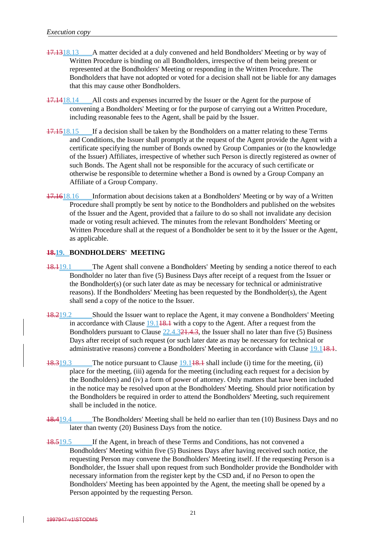- 17.1318.13 A matter decided at a duly convened and held Bondholders' Meeting or by way of Written Procedure is binding on all Bondholders, irrespective of them being present or represented at the Bondholders' Meeting or responding in the Written Procedure. The Bondholders that have not adopted or voted for a decision shall not be liable for any damages that this may cause other Bondholders.
- 17.1418.14 All costs and expenses incurred by the Issuer or the Agent for the purpose of convening a Bondholders' Meeting or for the purpose of carrying out a Written Procedure, including reasonable fees to the Agent, shall be paid by the Issuer.
- 17.1518.15 If a decision shall be taken by the Bondholders on a matter relating to these Terms and Conditions, the Issuer shall promptly at the request of the Agent provide the Agent with a certificate specifying the number of Bonds owned by Group Companies or (to the knowledge of the Issuer) Affiliates, irrespective of whether such Person is directly registered as owner of such Bonds. The Agent shall not be responsible for the accuracy of such certificate or otherwise be responsible to determine whether a Bond is owned by a Group Company an Affiliate of a Group Company.
- <span id="page-37-2"></span>17.1618.16 Information about decisions taken at a Bondholders' Meeting or by way of a Written Procedure shall promptly be sent by notice to the Bondholders and published on the websites of the Issuer and the Agent, provided that a failure to do so shall not invalidate any decision made or voting result achieved. The minutes from the relevant Bondholders' Meeting or Written Procedure shall at the request of a Bondholder be sent to it by the Issuer or the Agent, as applicable.

#### <span id="page-37-0"></span>**18.19. BONDHOLDERS' MEETING**

- <span id="page-37-1"></span>18.119.1 The Agent shall convene a Bondholders' Meeting by sending a notice thereof to each Bondholder no later than five (5) Business Days after receipt of a request from the Issuer or the Bondholder(s) (or such later date as may be necessary for technical or administrative reasons). If the Bondholders' Meeting has been requested by the Bondholder(s), the Agent shall send a copy of the notice to the Issuer.
- 18.219.2 Should the Issuer want to replace the Agent, it may convene a Bondholders' Meeting in accordance with Clause [19.118.1](#page-37-1) with a copy to the Agent. After a request from the Bondholders pursuant to Clause  $22.4.321.4.3$ , the Issuer shall no later than five (5) Business Days after receipt of such request (or such later date as may be necessary for technical or administrative reasons) convene a Bondholders' Meeting in accordance with Clause [19.118.1.](#page-37-1)
- 18.319.3 The notice pursuant to Clause [19.118.1](#page-37-1) shall include (i) time for the meeting, (ii) place for the meeting, (iii) agenda for the meeting (including each request for a decision by the Bondholders) and (iv) a form of power of attorney. Only matters that have been included in the notice may be resolved upon at the Bondholders' Meeting. Should prior notification by the Bondholders be required in order to attend the Bondholders' Meeting, such requirement shall be included in the notice.
- 18.419.4 The Bondholders' Meeting shall be held no earlier than ten (10) Business Days and no later than twenty (20) Business Days from the notice.
- 18.519.5 If the Agent, in breach of these Terms and Conditions, has not convened a Bondholders' Meeting within five (5) Business Days after having received such notice, the requesting Person may convene the Bondholders' Meeting itself. If the requesting Person is a Bondholder, the Issuer shall upon request from such Bondholder provide the Bondholder with necessary information from the register kept by the CSD and, if no Person to open the Bondholders' Meeting has been appointed by the Agent, the meeting shall be opened by a Person appointed by the requesting Person.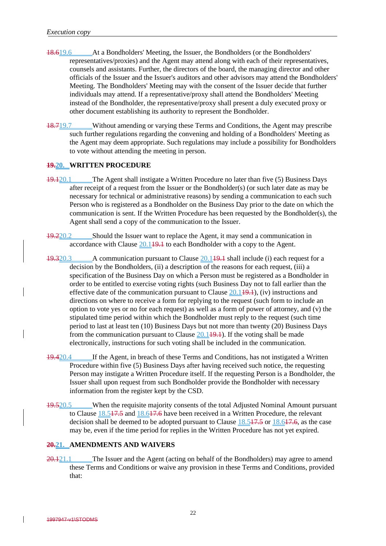- 18.619.6 At a Bondholders' Meeting, the Issuer, the Bondholders (or the Bondholders' representatives/proxies) and the Agent may attend along with each of their representatives, counsels and assistants. Further, the directors of the board, the managing director and other officials of the Issuer and the Issuer's auditors and other advisors may attend the Bondholders' Meeting. The Bondholders' Meeting may with the consent of the Issuer decide that further individuals may attend. If a representative/proxy shall attend the Bondholders' Meeting instead of the Bondholder, the representative/proxy shall present a duly executed proxy or other document establishing its authority to represent the Bondholder.
- 18.719.7 Without amending or varying these Terms and Conditions, the Agent may prescribe such further regulations regarding the convening and holding of a Bondholders' Meeting as the Agent may deem appropriate. Such regulations may include a possibility for Bondholders to vote without attending the meeting in person.

#### <span id="page-38-0"></span>**19.20. WRITTEN PROCEDURE**

- <span id="page-38-4"></span>19.120.1 The Agent shall instigate a Written Procedure no later than five (5) Business Days after receipt of a request from the Issuer or the Bondholder(s) (or such later date as may be necessary for technical or administrative reasons) by sending a communication to each such Person who is registered as a Bondholder on the Business Day prior to the date on which the communication is sent. If the Written Procedure has been requested by the Bondholder(s), the Agent shall send a copy of the communication to the Issuer.
- 19.220.2 Should the Issuer want to replace the Agent, it may send a communication in accordance with Clause [20.119.1](#page-38-4) to each Bondholder with a copy to the Agent.
- <span id="page-38-2"></span>19.320.3 A communication pursuant to Clause [20.119.1](#page-38-4) shall include (i) each request for a decision by the Bondholders, (ii) a description of the reasons for each request, (iii) a specification of the Business Day on which a Person must be registered as a Bondholder in order to be entitled to exercise voting rights (such Business Day not to fall earlier than the effective date of the communication pursuant to Clause  $20.149.4$ ), (iv) instructions and directions on where to receive a form for replying to the request (such form to include an option to vote yes or no for each request) as well as a form of power of attorney, and (v) the stipulated time period within which the Bondholder must reply to the request (such time period to last at least ten (10) Business Days but not more than twenty (20) Business Days from the communication pursuant to Clause  $20.149.1$ ). If the voting shall be made electronically, instructions for such voting shall be included in the communication.
- 19.420.4 If the Agent, in breach of these Terms and Conditions, has not instigated a Written Procedure within five (5) Business Days after having received such notice, the requesting Person may instigate a Written Procedure itself. If the requesting Person is a Bondholder, the Issuer shall upon request from such Bondholder provide the Bondholder with necessary information from the register kept by the CSD.
- 19.520.5 When the requisite majority consents of the total Adjusted Nominal Amount pursuant to Clause [18.517.5](#page-35-1) and [18.617.6](#page-36-0) have been received in a Written Procedure, the relevant decision shall be deemed to be adopted pursuant to Clause 18.547.5 or 18.647.6, as the case may be, even if the time period for replies in the Written Procedure has not yet expired.

#### <span id="page-38-1"></span>**20.21. AMENDMENTS AND WAIVERS**

<span id="page-38-3"></span>20.121.1 The Issuer and the Agent (acting on behalf of the Bondholders) may agree to amend these Terms and Conditions or waive any provision in these Terms and Conditions, provided that: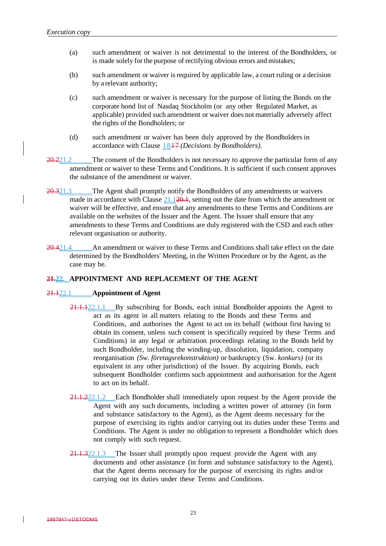- (a) such amendment or waiver is not detrimental to the interest of the Bondholders, or is made solely for the purpose of rectifying obvious errors and mistakes;
- (b) such amendment or waiver isrequired by applicable law, a court ruling or a decision by a relevant authority;
- (c) such amendment or waiver is necessary for the purpose of listing the Bonds on the corporate bond list of Nasdaq Stockholm (or any other Regulated Market, as applicable) provided such amendment or waiver does not materially adversely affect the rights of the Bondholders; or
- (d) such amendment or waiver has been duly approved by the Bondholders in accordance with Clause [1817](#page-35-0) *(Decisions by Bondholders).*
- $20.221.2$  The consent of the Bondholders is not necessary to approve the particular form of any amendment or waiver to these Terms and Conditions. It is sufficient if such consent approves the substance of the amendment or waiver.
- <span id="page-39-2"></span>20.321.3 The Agent shall promptly notify the Bondholders of any amendments or waivers made in accordance with Clause  $21.120.1$ , setting out the date from which the amendment or waiver will be effective, and ensure that any amendments to these Terms and Conditions are available on the websites of the Issuer and the Agent. The Issuer shall ensure that any amendments to these Terms and Conditions are duly registered with the CSD and each other relevant organisation or authority.
- 20.421.4 An amendment or waiver to these Terms and Conditions shall take effect on the date determined by the Bondholders' Meeting, in the Written Procedure or by the Agent, as the case may be.

#### <span id="page-39-0"></span>**21.22. APPOINTMENT AND REPLACEMENT OF THE AGENT**

#### 21.122.1 **Appointment of Agent**

- 21.1.122.1.1 By subscribing for Bonds, each initial Bondholder appoints the Agent to act as its agent in all matters relating to the Bonds and these Terms and Conditions, and authorises the Agent to act on its behalf (without first having to obtain its consent, unless such consent is specifically required by these Terms and Conditions) in any legal or arbitration proceedings relating to the Bonds held by such Bondholder, including the winding-up, dissolution, liquidation, company reorganisation *(Sw. företagsrekonstruktion)* or bankruptcy (Sw. *konkurs)* (or its equivalent in any other jurisdiction) of the Issuer. By acquiring Bonds, each subsequent Bondholder confirms such appointment and authorisation for the Agent to act on its behalf.
- <span id="page-39-1"></span>21.1.222.1.2 Each Bondholder shall immediately upon request by the Agent provide the Agent with any such documents, including a written power of attorney (in form and substance satisfactory to the Agent), as the Agent deems necessary for the purpose of exercising its rights and/or carrying out its duties under these Terms and Conditions. The Agent is under no obligation to represent a Bondholder which does not comply with such request.
- 21.1.322.1.3 The Issuer shall promptly upon request provide the Agent with any documents and other assistance (in form and substance satisfactory to the Agent), that the Agent deems necessary for the purpose of exercising its rights and/or carrying out its duties under these Terms and Conditions.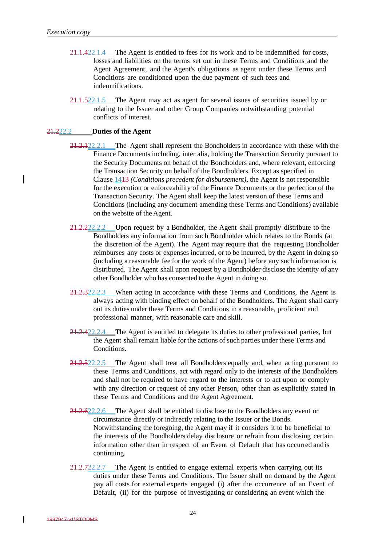- 21.1.422.1.4 The Agent is entitled to fees for its work and to be indemnified for costs, losses and liabilities on the terms set out in these Terms and Conditions and the Agent Agreement, and the Agent's obligations as agent under these Terms and Conditions are conditioned upon the due payment of such fees and indemnifications.
- 21.1.522.1.5 The Agent may act as agent for several issues of securities issued by or relating to the Issuer and other Group Companies notwithstanding potential conflicts of interest.

#### 21.222.2 **Duties of the Agent**

- 21.2.122.2.1 The Agent shall represent the Bondholders in accordance with these with the Finance Documents including, inter alia, holding the Transaction Security pursuant to the Security Documents on behalf of the Bondholders and, where relevant, enforcing the Transaction Security on behalf of the Bondholders. Except as specified in Clause [1413](#page-30-0) *(Conditions precedent for disbursement),* the Agent is not responsible for the execution or enforceability of the Finance Documents or the perfection of the Transaction Security. The Agent shall keep the latest version of these Terms and Conditions (including any document amending these Terms and Conditions) available on the website of theAgent.
- 21.2.222.2.2 Upon request by a Bondholder, the Agent shall promptly distribute to the Bondholders any information from such Bondholder which relates to the Bonds (at the discretion of the Agent). The Agent may require that the requesting Bondholder reimburses any costs or expenses incurred, or to be incurred, by the Agent in doing so (including a reasonable fee for the work of the Agent) before any such information is distributed. The Agent shall upon request by a Bondholder disclose the identity of any other Bondholder who has consented to the Agent in doing so.
- 21.2.322.2.3 When acting in accordance with these Terms and Conditions, the Agent is always acting with binding effect on behalf of the Bondholders. The Agent shall carry out its duties under these Terms and Conditions in a reasonable, proficient and professional manner, with reasonable care and skill.
- 21.2.422.2.4 The Agent is entitled to delegate its duties to other professional parties, but the Agent shall remain liable for the actions of such parties under these Terms and Conditions.
- 21.2.522.2.5 The Agent shall treat all Bondholders equally and, when acting pursuant to these Terms and Conditions, act with regard only to the interests of the Bondholders and shall not be required to have regard to the interests or to act upon or comply with any direction or request of any other Person, other than as explicitly stated in these Terms and Conditions and the Agent Agreement.
- 21.2.622.2.6 The Agent shall be entitled to disclose to the Bondholders any event or circumstance directly or indirectly relating to the Issuer or the Bonds. Notwithstanding the foregoing, the Agent may if it considers it to be beneficial to the interests of the Bondholders delay disclosure or refrain from disclosing certain information other than in respect of an Event of Default that has occurred and is continuing.
- 21.2.722.2.7 The Agent is entitled to engage external experts when carrying out its duties under these Terms and Conditions. The Issuer shall on demand by the Agent pay all costs for external experts engaged (i) after the occurrence of an Event of Default, (ii) for the purpose of investigating or considering an event which the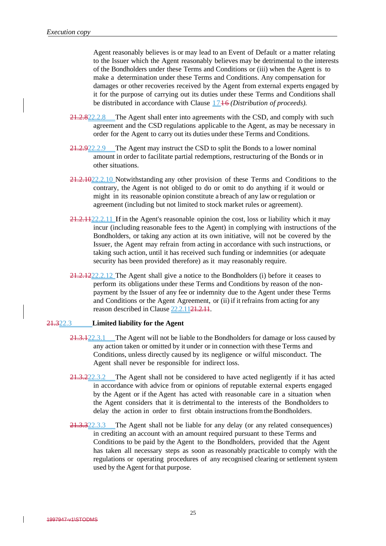Agent reasonably believes is or may lead to an Event of Default or a matter relating to the Issuer which the Agent reasonably believes may be detrimental to the interests of the Bondholders under these Terms and Conditions or (iii) when the Agent is to make a determination under these Terms and Conditions. Any compensation for damages or other recoveries received by the Agent from external experts engaged by it for the purpose of carrying out its duties under these Terms and Conditions shall be distributed in accordance with Clause [1716](#page-34-0) *(Distribution of proceeds).*

- 21.2.822.2.8 The Agent shall enter into agreements with the CSD, and comply with such agreement and the CSD regulations applicable to the Agent, as may be necessary in order for the Agent to carry out its duties under these Terms and Conditions.
- <span id="page-41-0"></span>21.2.922.2.9 The Agent may instruct the CSD to split the Bonds to a lower nominal amount in order to facilitate partial redemptions, restructuring of the Bonds or in other situations.
- 21.2.1022.2.10 Notwithstanding any other provision of these Terms and Conditions to the contrary, the Agent is not obliged to do or omit to do anything if it would or might in its reasonable opinion constitute a breach of any law or regulation or agreement (including but not limited to stock market rules or agreement).
- <span id="page-41-1"></span>21.2.1122.2.11 Ifin the Agent's reasonable opinion the cost, loss or liability which it may incur (including reasonable fees to the Agent) in complying with instructions of the Bondholders, or taking any action at its own initiative, will not be covered by the Issuer, the Agent may refrain from acting in accordance with such instructions, or taking such action, until it has received such funding or indemnities (or adequate security has been provided therefore) as it may reasonably require.
- <span id="page-41-2"></span>21.2.1222.2.12 The Agent shall give a notice to the Bondholders (i) before it ceases to perform its obligations under these Terms and Conditions by reason of the nonpayment by the Issuer of any fee or indemnity due to the Agent under these Terms and Conditions or the Agent Agreement, or (ii) if it refrains from acting for any reason described in Clause [22.2.1121.2.11.](#page-41-1)

#### 21.322.3 **Limited liability for the Agent**

- 21.3.122.3.1 The Agent will not be liable to the Bondholders for damage or loss caused by any action taken or omitted by it under or in connection with these Terms and Conditions, unless directly caused by its negligence or wilful misconduct. The Agent shall never be responsible for indirect loss.
- 21.3.222.3.2 The Agent shall not be considered to have acted negligently if it has acted in accordance with advice from or opinions of reputable external experts engaged by the Agent or if the Agent has acted with reasonable care in a situation when the Agent considers that it is detrimental to the interests of the Bondholders to delay the action in order to first obtain instructions from the Bondholders.
- 21.3.322.3.3 The Agent shall not be liable for any delay (or any related consequences) in crediting an account with an amount required pursuant to these Terms and Conditions to be paid by the Agent to the Bondholders, provided that the Agent has taken all necessary steps as soon as reasonably practicable to comply with the regulations or operating procedures of any recognised clearing or settlement system used by the Agent for that purpose.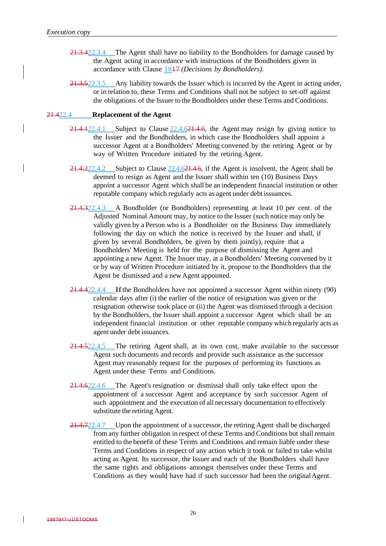- 21.3.422.3.4 The Agent shall have no liability to the Bondholders for damage caused by the Agent acting in accordance with instructions of the Bondholders given in accordance with Clause [1817](#page-35-0) *(Decisions by Bondholders).*
- $21.3.522.3.5$  Any liability towards the Issuer which is incurred by the Agent in acting under, or in relation to, these Terms and Conditions shall not be subject to set-off against the obligations of the Issuer to the Bondholders under these Terms and Conditions.

#### <span id="page-42-3"></span><span id="page-42-2"></span>21.422.4 **Replacement of the Agent**

- 21.4.122.4.1 Subject to Clause [22.4.621.4.6,](#page-42-1) the Agent may resign by giving notice to the Issuer and the Bondholders, in which case the Bondholders shall appoint a successor Agent at a Bondholders' Meeting convened by the retiring Agent or by way of Written Procedure initiated by the retiring Agent.
- 21.4.222.4.2 Subject to Clause  $22.4.621.4.6$ , if the Agent is insolvent, the Agent shall be deemed to resign as Agent and the Issuer shall within ten (10) Business Days appoint a successor Agent which shall be an independent financial institution or other reputable company which regularly acts as agent under debt issuances.
- <span id="page-42-0"></span>21.4.322.4.3 A Bondholder (or Bondholders) representing at least 10 per cent. of the Adjusted Nominal Amount may, by notice to the Issuer (such notice may only be validly given by a Person who is a Bondholder on the Business Day immediately following the day on which the notice is received by the Issuer and shall, if given by several Bondholders, be given by them jointly), require that a Bondholders' Meeting is held for the purpose of dismissing the Agent and appointing a new Agent. The Issuer may, at a Bondholders' Meeting convened by it or by way of Written Procedure initiated by it, propose to the Bondholders that the Agent be dismissed and a newAgent appointed.
- 21.4.422.4.4 If the Bondholders have not appointed a successor Agent within ninety (90) calendar days after (i) the earlier of the notice of resignation was given or the resignation otherwise took place or (ii) the Agent was dismissed through a decision by the Bondholders, the Issuer shall appoint a successor Agent which shall be an independent financial institution or other reputable company which regularly acts as agent under debt issuances.
- 21.4.522.4.5 The retiring Agent shall, at its own cost, make available to the successor Agent such documents and records and provide such assistance as the successor Agent may reasonably request for the purposes of performing its functions as Agent under these Terms and Conditions.
- <span id="page-42-1"></span>21.4.622.4.6 The Agent's resignation or dismissal shall only take effect upon the appointment of a successor Agent and acceptance by such successor Agent of such appointment and the execution of all necessary documentation to effectively substitute the retiring Agent.
- 21.4.722.4.7 Upon the appointment of a successor, the retiring Agent shall be discharged from any further obligation in respect of these Terms and Conditions but shall remain entitled to the benefit of these Terms and Conditions and remain liable under these Terms and Conditions in respect of any action which it took or failed to take whilst acting as Agent. Its successor, the Issuer and each of the Bondholders shall have the same rights and obligations amongst themselves under these Terms and Conditions as they would have had if such successor had been the original Agent.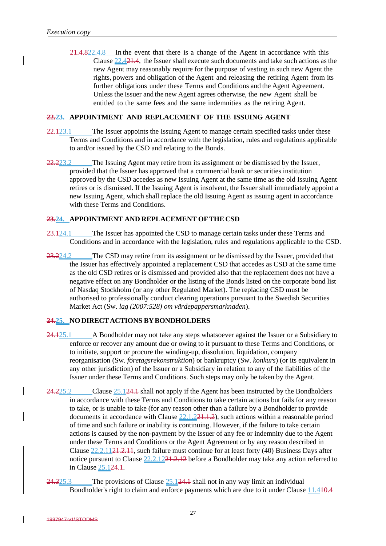21.4.822.4.8 In the event that there is a change of the Agent in accordance with this Clause [22.421.4,](#page-42-2) the Issuer shall execute such documents and take such actions asthe new Agent may reasonably require for the purpose of vesting in such new Agent the rights, powers and obligation of the Agent and releasing the retiring Agent from its further obligations under these Terms and Conditions and the Agent Agreement. Unless the Issuer and the new Agent agrees otherwise, the new Agent shall be entitled to the same fees and the same indemnities as the retiring Agent.

#### <span id="page-43-0"></span>**22.23. APPOINTMENT AND REPLACEMENT OF THE ISSUING AGENT**

- 22.123.1 The Issuer appoints the Issuing Agent to manage certain specified tasks under these Terms and Conditions and in accordance with the legislation, rules and regulations applicable to and/or issued by the CSD and relating to the Bonds.
- 22.223.2 The Issuing Agent may retire from its assignment or be dismissed by the Issuer, provided that the Issuer has approved that a commercial bank or securities institution approved by the CSD accedes as new Issuing Agent at the same time as the old Issuing Agent retires or is dismissed. If the Issuing Agent is insolvent, the Issuer shall immediately appoint a new Issuing Agent, which shall replace the old Issuing Agent as issuing agent in accordance with these Terms and Conditions.

#### <span id="page-43-1"></span>**23.24. APPOINTMENT AND REPLACEMENT OFTHE CSD**

- 23.124.1 The Issuer has appointed the CSD to manage certain tasks under these Terms and Conditions and in accordance with the legislation, rules and regulations applicable to the CSD.
- 23.224.2 The CSD may retire from its assignment or be dismissed by the Issuer, provided that the Issuer has effectively appointed a replacement CSD that accedes as CSD at the same time as the old CSD retires or is dismissed and provided also that the replacement does not have a negative effect on any Bondholder or the listing of the Bonds listed on the corporate bond list of Nasdaq Stockholm (or any other Regulated Market). The replacing CSD must be authorised to professionally conduct clearing operations pursuant to the Swedish Securities Market Act (Sw. *lag (2007:528) om värdepappersmarknaden*).

#### <span id="page-43-2"></span>**24.25. NODIRECTACTIONS BYBONDHOLDERS**

- <span id="page-43-3"></span>24.125.1 A Bondholder may not take any steps whatsoever against the Issuer or a Subsidiary to enforce or recover any amount due or owing to it pursuant to these Terms and Conditions, or to initiate, support or procure the winding-up, dissolution, liquidation, company reorganisation (Sw. *företagsrekonstruktion*) or bankruptcy (Sw. *konkurs*) (or its equivalent in any other jurisdiction) of the Issuer or a Subsidiary in relation to any of the liabilities of the Issuer under these Terms and Conditions. Such steps may only be taken by the Agent.
- 24.225.2 Clause [25.124.1](#page-43-3) shall not apply if the Agent has been instructed by the Bondholders in accordance with these Terms and Conditions to take certain actions but fails for any reason to take, or is unable to take (for any reason other than a failure by a Bondholder to provide documents in accordance with Clause  $22.1.221.1.2$ ), such actions within a reasonable period of time and such failure or inability is continuing. However, if the failure to take certain actions is caused by the non-payment by the Issuer of any fee or indemnity due to the Agent under these Terms and Conditions or the Agent Agreement or by any reason described in Clause [22.2.1121.2.11,](#page-41-1) such failure must continue for at least forty (40) Business Days after notice pursuant to Clause  $\frac{22.2.12}{21.2.12}$  before a Bondholder may take any action referred to in Clause [25.124.1.](#page-43-3)
- 24.325.3 The provisions of Clause [25.124.1](#page-43-3) shall not in any way limit an individual Bondholder's right to claim and enforce payments which are due to it under Clause [11.410.4](#page-27-3)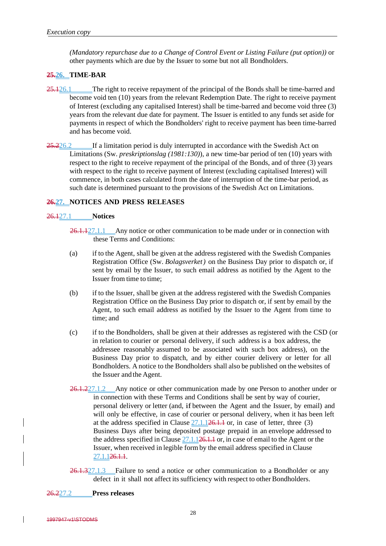*(Mandatory repurchase due to a Change of Control Event or Listing Failure (put option))* or other payments which are due by the Issuer to some but not all Bondholders.

#### <span id="page-44-0"></span>**25.26. TIME-BAR**

- 25.126.1 The right to receive repayment of the principal of the Bonds shall be time-barred and become void ten (10) years from the relevant Redemption Date. The right to receive payment of Interest (excluding any capitalised Interest) shall be time-barred and become void three (3) years from the relevant due date for payment. The Issuer is entitled to any funds set aside for payments in respect of which the Bondholders' right to receive payment has been time-barred and has become void.
- 25.226.2 If a limitation period is duly interrupted in accordance with the Swedish Act on Limitations (Sw. *preskriptionslag (1981:130)*), a new time-bar period of ten (10) years with respect to the right to receive repayment of the principal of the Bonds, and of three (3) years with respect to the right to receive payment of Interest (excluding capitalised Interest) will commence, in both cases calculated from the date of interruption of the time-bar period, as such date is determined pursuant to the provisions of the Swedish Act on Limitations.

## <span id="page-44-1"></span>**26.27. NOTICES AND PRESS RELEASES**

## <span id="page-44-2"></span>26.127.1 **Notices**

- 26.1.127.1.1 Any notice or other communication to be made under or in connection with these Terms and Conditions:
- (a) if to the Agent, shall be given at the address registered with the Swedish Companies Registration Office (Sw. *Bolagsverket)* on the Business Day prior to dispatch or, if sent by email by the Issuer, to such email address as notified by the Agent to the Issuer from time to time;
- (b) if to the Issuer, shall be given at the address registered with the Swedish Companies Registration Office on the Business Day prior to dispatch or, if sent by email by the Agent, to such email address as notified by the Issuer to the Agent from time to time; and
- (c) if to the Bondholders, shall be given at their addresses as registered with the CSD (or in relation to courier or personal delivery, if such address is a box address, the addressee reasonably assumed to be associated with such box address), on the Business Day prior to dispatch, and by either courier delivery or letter for all Bondholders. A notice to the Bondholders shall also be published on the websites of the Issuer and the Agent.
- 26.1.227.1.2 Any notice or other communication made by one Person to another under or in connection with these Terms and Conditions shall be sent by way of courier, personal delivery or letter (and, if between the Agent and the Issuer, by email) and will only be effective, in case of courier or personal delivery, when it has been left at the address specified in Clause  $27.1.126.1.1$  or, in case of letter, three (3) Business Days after being deposited postage prepaid in an envelope addressed to the address specified in Clause [27.1.126.1.1](#page-44-2) or, in case of email to the Agent or the Issuer, when received in legible form by the email address specified in Clause [27.1.126.1.1.](#page-44-2)
- 26.1.327.1.3 Failure to send a notice or other communication to a Bondholder or any defect in it shall not affect its sufficiency with respect to other Bondholders.

26.227.2 **Press releases**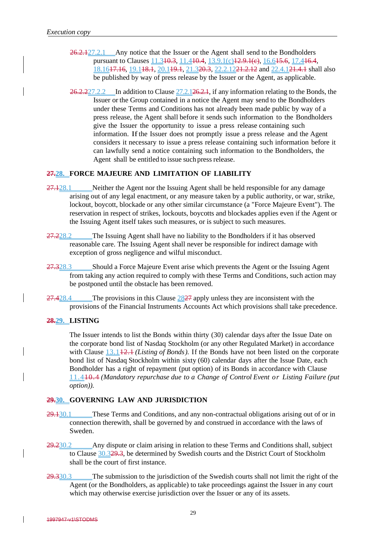- <span id="page-45-4"></span>26.2.127.2.1 Any notice that the Issuer or the Agent shall send to the Bondholders pursuant to Clauses [11.310.3,](#page-26-7) [11.410.4,](#page-27-3) 13.9.1(c)12.9.1(e), [16.615.6,](#page-33-0) [17.416.4,](#page-35-2) [18.1617.16,](#page-37-2) [19.118.1,](#page-37-1) [20.119.1,](#page-38-4) [21.320.3,](#page-39-2) [22.2.1221.2.12](#page-41-2) and [22.4.121.4.1](#page-42-3) shall also be published by way of press release by the Issuer or the Agent, as applicable.
- 26.2.227.2.2 In addition to Clause [27.2.126.2.1,](#page-45-4) if any information relating to the Bonds, the Issuer or the Group contained in a notice the Agent may send to the Bondholders under these Terms and Conditions has not already been made public by way of a press release, the Agent shall before it sends such information to the Bondholders give the Issuer the opportunity to issue a press release containing such information. Ifthe Issuer does not promptly issue a press release and the Agent considers it necessary to issue a press release containing such information before it can lawfully send a notice containing such information to the Bondholders, the Agent shall be entitled to issue such press release.

#### <span id="page-45-0"></span>**27.28. FORCE MAJEURE AND LIMITATION OF LIABILITY**

- <span id="page-45-3"></span>27.128.1 Neither the Agent nor the Issuing Agent shall be held responsible for any damage arising out of any legal enactment, or any measure taken by a public authority, or war, strike, lockout, boycott, blockade or any other similar circumstance (a "Force Majeure Event"). The reservation in respect of strikes, lockouts, boycotts and blockades applies even if the Agent or the Issuing Agent itself takes such measures, or is subject to such measures.
- 27.228.2 The Issuing Agent shall have no liability to the Bondholders if it has observed reasonable care. The Issuing Agent shall never be responsible for indirect damage with exception of gross negligence and wilful misconduct.
- 27.328.3 Should a Force Majeure Event arise which prevents the Agent or the Issuing Agent from taking any action required to comply with these Terms and Conditions, such action may be postponed until the obstacle has been removed.
- 27.428.4 The provisions in this Clause [2827](#page-45-0) apply unless they are inconsistent with the provisions of the Financial Instruments Accounts Act which provisions shall take precedence.

#### <span id="page-45-1"></span>**28.29. LISTING**

The Issuer intends to list the Bonds within thirty (30) calendar days after the Issue Date on the corporate bond list of Nasdaq Stockholm (or any other Regulated Market) in accordance with Clause 13.142.4 *(Listing of Bonds)*. If the Bonds have not been listed on the corporate bond list of Nasdaq Stockholm within sixty (60) calendar days after the Issue Date, each Bondholder has a right of repayment (put option) of its Bonds in accordance with Clause [11.410.4](#page-27-3) *(Mandatory repurchase due to a Change of Control Event or Listing Failure (put option)).*

#### <span id="page-45-2"></span>**29.30. GOVERNING LAW AND JURISDICTION**

- 29.130.1 These Terms and Conditions, and any non-contractual obligations arising out of or in connection therewith, shall be governed by and construed in accordance with the laws of Sweden.
- 29.230.2 Any dispute or claim arising in relation to these Terms and Conditions shall, subject to Clause [30.329.3,](#page-45-5) be determined by Swedish courts and the District Court of Stockholm shall be the court of first instance.
- <span id="page-45-5"></span>29.330.3 The submission to the jurisdiction of the Swedish courts shall not limit the right of the Agent (or the Bondholders, as applicable) to take proceedings against the Issuer in any court which may otherwise exercise jurisdiction over the Issuer or any of its assets.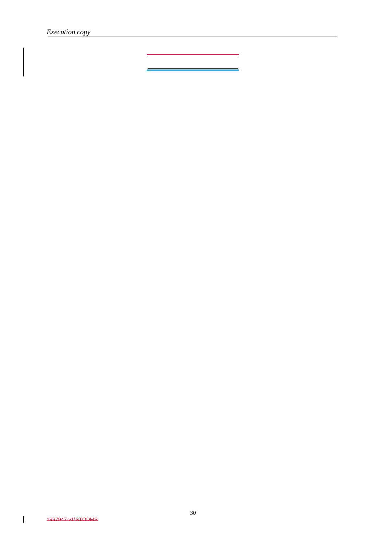$\overline{\phantom{a}}$